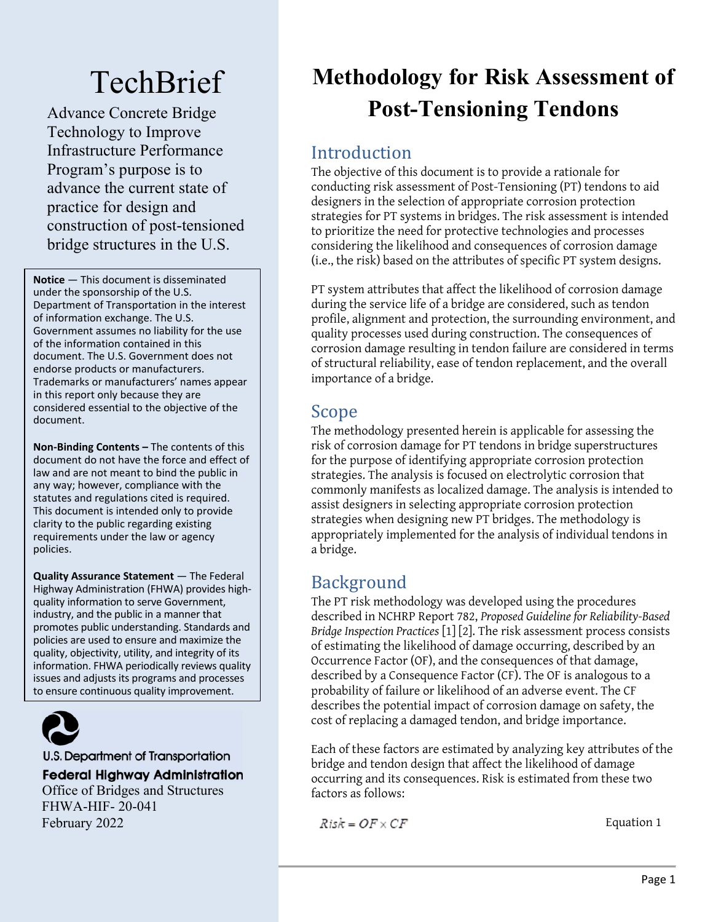# **TechBrief**

Advance Concrete Bridge Technology to Improve Infrastructure Performance Program's purpose is to advance the current state of practice for design and construction of post-tensioned bridge structures in the U.S.

**Notice** — This document is disseminated under the sponsorship of the U.S. Department of Transportation in the interest of information exchange. The U.S. Government assumes no liability for the use of the information contained in this document. The U.S. Government does not endorse products or manufacturers. Trademarks or manufacturers' names appear in this report only because they are considered essential to the objective of the document.

**Non-Binding Contents –** The contents of this document do not have the force and effect of law and are not meant to bind the public in any way; however, compliance with the statutes and regulations cited is required. This document is intended only to provide clarity to the public regarding existing requirements under the law or agency policies.

**Quality Assurance Statement** — The Federal Highway Administration (FHWA) provides highquality information to serve Government, industry, and the public in a manner that promotes public understanding. Standards and policies are used to ensure and maximize the quality, objectivity, utility, and integrity of its information. FHWA periodically reviews quality issues and adjusts its programs and processes to ensure continuous quality improvement.



U.S. Department of Transportation

**Federal Highway Administration** 

Office of Bridges and Structures FHWA-HIF- 20-041 February 2022

# **Methodology for Risk Assessment of Post-Tensioning Tendons**

## **Introduction**

The objective of this document is to provide a rationale for conducting risk assessment of Post-Tensioning (PT) tendons to aid designers in the selection of appropriate corrosion protection strategies for PT systems in bridges. The risk assessment is intended to prioritize the need for protective technologies and processes considering the likelihood and consequences of corrosion damage (i.e., the risk) based on the attributes of specific PT system designs.

PT system attributes that affect the likelihood of corrosion damage during the service life of a bridge are considered, such as tendon profile, alignment and protection, the surrounding environment, and quality processes used during construction. The consequences of corrosion damage resulting in tendon failure are considered in terms of structural reliability, ease of tendon replacement, and the overall importance of a bridge.

# Scope

The methodology presented herein is applicable for assessing the risk of corrosion damage for PT tendons in bridge superstructures for the purpose of identifying appropriate corrosion protection strategies. The analysis is focused on electrolytic corrosion that commonly manifests as localized damage. The analysis is intended to assist designers in selecting appropriate corrosion protection strategies when designing new PT bridges. The methodology is appropriately implemented for the analysis of individual tendons in a bridge.

# Background

The PT risk methodology was developed using the procedures described in NCHRP Report 782, *Proposed Guideline for Reliability-Based Bridge Inspection Practices* [1] [2]. The risk assessment process consists of estimating the likelihood of damage occurring, described by an Occurrence Factor (OF), and the consequences of that damage, described by a Consequence Factor (CF). The OF is analogous to a probability of failure or likelihood of an adverse event. The CF describes the potential impact of corrosion damage on safety, the cost of replacing a damaged tendon, and bridge importance.

Each of these factors are estimated by analyzing key attributes of the bridge and tendon design that affect the likelihood of damage occurring and its consequences. Risk is estimated from these two factors as follows:

$$
Risk = OF \times CF
$$

<span id="page-0-0"></span>Equation 1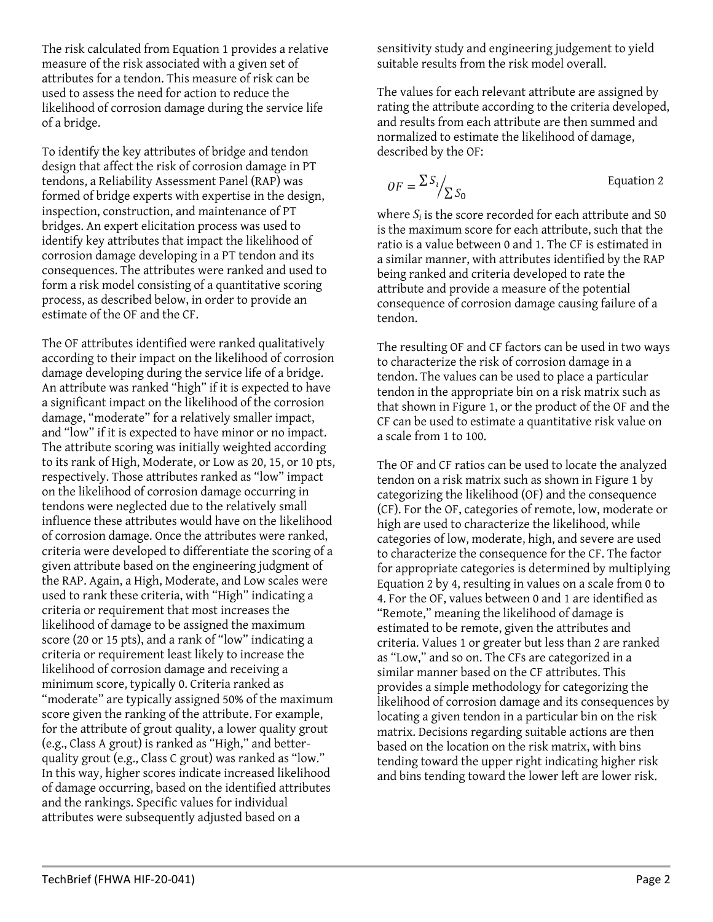The risk calculated from [Equation 1](#page-0-0) provides a relative measure of the risk associated with a given set of attributes for a tendon. This measure of risk can be used to assess the need for action to reduce the likelihood of corrosion damage during the service life of a bridge.

To identify the key attributes of bridge and tendon design that affect the risk of corrosion damage in PT tendons, a Reliability Assessment Panel (RAP) was formed of bridge experts with expertise in the design, inspection, construction, and maintenance of PT bridges. An expert elicitation process was used to identify key attributes that impact the likelihood of corrosion damage developing in a PT tendon and its consequences. The attributes were ranked and used to form a risk model consisting of a quantitative scoring process, as described below, in order to provide an estimate of the OF and the CF.

The OF attributes identified were ranked qualitatively according to their impact on the likelihood of corrosion damage developing during the service life of a bridge. An attribute was ranked "high" if it is expected to have a significant impact on the likelihood of the corrosion damage, "moderate" for a relatively smaller impact, and "low" if it is expected to have minor or no impact. The attribute scoring was initially weighted according to its rank of High, Moderate, or Low as 20, 15, or 10 pts, respectively. Those attributes ranked as "low" impact on the likelihood of corrosion damage occurring in tendons were neglected due to the relatively small influence these attributes would have on the likelihood of corrosion damage. Once the attributes were ranked, criteria were developed to differentiate the scoring of a given attribute based on the engineering judgment of the RAP. Again, a High, Moderate, and Low scales were used to rank these criteria, with "High" indicating a criteria or requirement that most increases the likelihood of damage to be assigned the maximum score (20 or 15 pts), and a rank of "low" indicating a criteria or requirement least likely to increase the likelihood of corrosion damage and receiving a minimum score, typically 0. Criteria ranked as "moderate" are typically assigned 50% of the maximum score given the ranking of the attribute. For example, for the attribute of grout quality, a lower quality grout (e.g., Class A grout) is ranked as "High," and betterquality grout (e.g., Class C grout) was ranked as "low." In this way, higher scores indicate increased likelihood of damage occurring, based on the identified attributes and the rankings. Specific values for individual attributes were subsequently adjusted based on a

sensitivity study and engineering judgement to yield suitable results from the risk model overall.

The values for each relevant attribute are assigned by rating the attribute according to the criteria developed, and results from each attribute are then summed and normalized to estimate the likelihood of damage, described by the OF:

<span id="page-1-0"></span>
$$
OF = \frac{\sum S_i}{\sum S_0}
$$
 Equation 2

where *Si* is the score recorded for each attribute and S0 is the maximum score for each attribute, such that the ratio is a value between 0 and 1. The CF is estimated in a similar manner, with attributes identified by the RAP being ranked and criteria developed to rate the attribute and provide a measure of the potential consequence of corrosion damage causing failure of a tendon.

The resulting OF and CF factors can be used in two ways to characterize the risk of corrosion damage in a tendon. The values can be used to place a particular tendon in the appropriate bin on a risk matrix such as that shown in Figure 1, or the product of the OF and the CF can be used to estimate a quantitative risk value on a scale from 1 to 100.

The OF and CF ratios can be used to locate the analyzed tendon on a risk matrix such as shown in [Figure 1](#page-2-0) by categorizing the likelihood (OF) and the consequence (CF). For the OF, categories of remote, low, moderate or high are used to characterize the likelihood, while categories of low, moderate, high, and severe are used to characterize the consequence for the CF. The factor for appropriate categories is determined by multiplying [Equation 2](#page-1-0) by 4, resulting in values on a scale from 0 to 4. For the OF, values between 0 and 1 are identified as "Remote," meaning the likelihood of damage is estimated to be remote, given the attributes and criteria. Values 1 or greater but less than 2 are ranked as "Low," and so on. The CFs are categorized in a similar manner based on the CF attributes. This provides a simple methodology for categorizing the likelihood of corrosion damage and its consequences by locating a given tendon in a particular bin on the risk matrix. Decisions regarding suitable actions are then based on the location on the risk matrix, with bins tending toward the upper right indicating higher risk and bins tending toward the lower left are lower risk.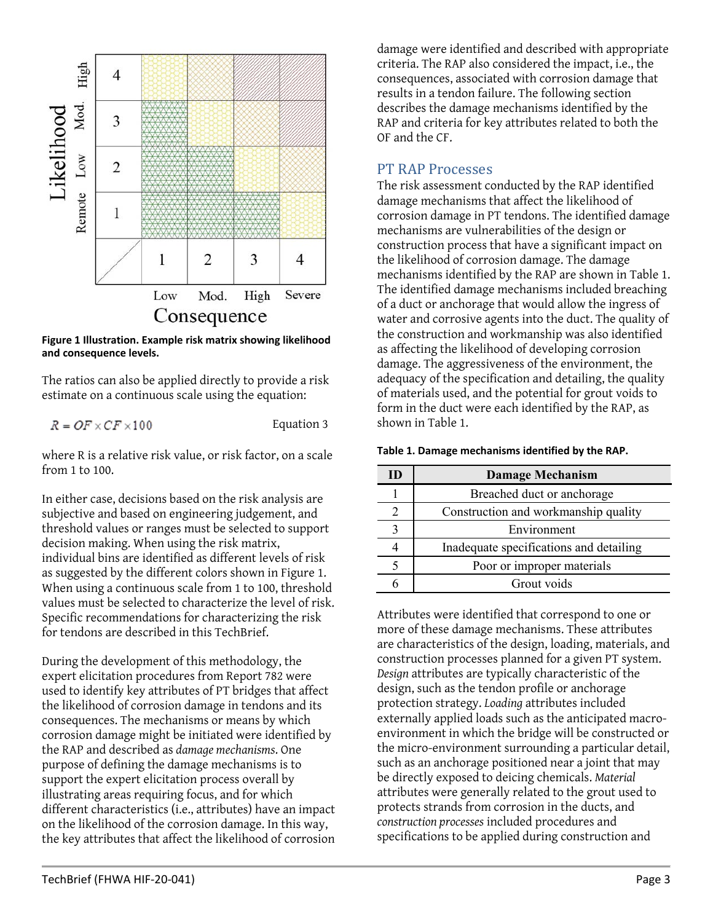

<span id="page-2-0"></span>**Figure 1 Illustration. Example risk matrix showing likelihood and consequence levels.**

The ratios can also be applied directly to provide a risk estimate on a continuous scale using the equation:

 $R = OF \times CF \times 100$ 

<span id="page-2-2"></span>Equation 3

where R is a relative risk value, or risk factor, on a scale from 1 to 100.

In either case, decisions based on the risk analysis are subjective and based on engineering judgement, and threshold values or ranges must be selected to support decision making. When using the risk matrix, individual bins are identified as different levels of risk as suggested by the different colors shown in [Figure 1.](#page-2-0) When using a continuous scale from 1 to 100, threshold values must be selected to characterize the level of risk. Specific recommendations for characterizing the risk for tendons are described in this TechBrief.

During the development of this methodology, the expert elicitation procedures from Report 782 were used to identify key attributes of PT bridges that affect the likelihood of corrosion damage in tendons and its consequences. The mechanisms or means by which corrosion damage might be initiated were identified by the RAP and described as *damage mechanisms*. One purpose of defining the damage mechanisms is to support the expert elicitation process overall by illustrating areas requiring focus, and for which different characteristics (i.e., attributes) have an impact on the likelihood of the corrosion damage. In this way, the key attributes that affect the likelihood of corrosion

damage were identified and described with appropriate criteria. The RAP also considered the impact, i.e., the consequences, associated with corrosion damage that results in a tendon failure. The following section describes the damage mechanisms identified by the RAP and criteria for key attributes related to both the OF and the CF.

### PT RAP Processes

The risk assessment conducted by the RAP identified damage mechanisms that affect the likelihood of corrosion damage in PT tendons. The identified damage mechanisms are vulnerabilities of the design or construction process that have a significant impact on the likelihood of corrosion damage. The damage mechanisms identified by the RAP are shown in [Table 1.](#page-2-1) The identified damage mechanisms included breaching of a duct or anchorage that would allow the ingress of water and corrosive agents into the duct. The quality of the construction and workmanship was also identified as affecting the likelihood of developing corrosion damage. The aggressiveness of the environment, the adequacy of the specification and detailing, the quality of materials used, and the potential for grout voids to form in the duct were each identified by the RAP, as shown i[n Table 1.](#page-2-1)

<span id="page-2-1"></span>

| Table 1. Damage mechanisms identified by the RAP. |  |  |  |  |  |
|---------------------------------------------------|--|--|--|--|--|
|---------------------------------------------------|--|--|--|--|--|

| <b>Damage Mechanism</b>                 |  |
|-----------------------------------------|--|
| Breached duct or anchorage              |  |
| Construction and workmanship quality    |  |
| Environment                             |  |
| Inadequate specifications and detailing |  |
| Poor or improper materials              |  |
| Grout voids                             |  |

Attributes were identified that correspond to one or more of these damage mechanisms. These attributes are characteristics of the design, loading, materials, and construction processes planned for a given PT system. *Design* attributes are typically characteristic of the design, such as the tendon profile or anchorage protection strategy. *Loading* attributes included externally applied loads such as the anticipated macroenvironment in which the bridge will be constructed or the micro-environment surrounding a particular detail, such as an anchorage positioned near a joint that may be directly exposed to deicing chemicals. *Material* attributes were generally related to the grout used to protects strands from corrosion in the ducts, and *construction processes* included procedures and specifications to be applied during construction and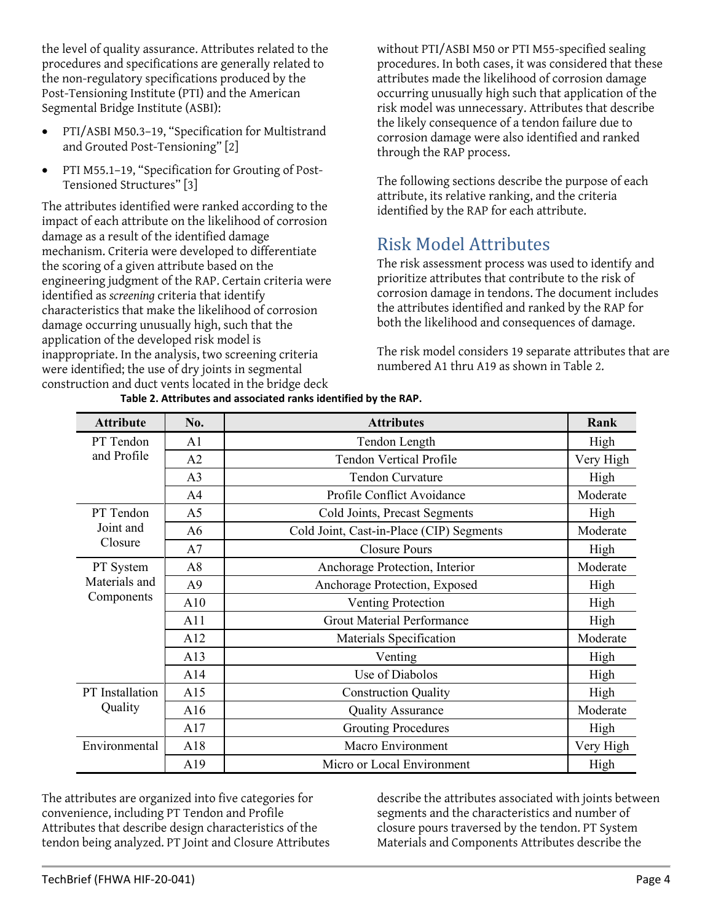the level of quality assurance. Attributes related to the procedures and specifications are generally related to the non-regulatory specifications produced by the Post-Tensioning Institute (PTI) and the American Segmental Bridge Institute (ASBI):

- PTI/ASBI M50.3–19, "Specification for Multistrand and Grouted Post-Tensioning" [2]
- PTI M55.1–19, "Specification for Grouting of Post-Tensioned Structures" [3]

The attributes identified were ranked according to the impact of each attribute on the likelihood of corrosion damage as a result of the identified damage mechanism. Criteria were developed to differentiate the scoring of a given attribute based on the engineering judgment of the RAP. Certain criteria were identified as *screening* criteria that identify characteristics that make the likelihood of corrosion damage occurring unusually high, such that the application of the developed risk model is inappropriate. In the analysis, two screening criteria were identified; the use of dry joints in segmental construction and duct vents located in the bridge deck

without PTI/ASBI M50 or PTI M55-specified sealing procedures. In both cases, it was considered that these attributes made the likelihood of corrosion damage occurring unusually high such that application of the risk model was unnecessary. Attributes that describe the likely consequence of a tendon failure due to corrosion damage were also identified and ranked through the RAP process.

The following sections describe the purpose of each attribute, its relative ranking, and the criteria identified by the RAP for each attribute.

# Risk Model Attributes

The risk assessment process was used to identify and prioritize attributes that contribute to the risk of corrosion damage in tendons. The document includes the attributes identified and ranked by the RAP for both the likelihood and consequences of damage.

The risk model considers 19 separate attributes that are numbered A1 thru A19 as shown in [Table 2.](#page-3-0) 

<span id="page-3-0"></span>

| <b>Attribute</b> | No.            | <b>Attributes</b>                        | Rank      |
|------------------|----------------|------------------------------------------|-----------|
| PT Tendon        | A1             | Tendon Length                            | High      |
| and Profile      | A2             | <b>Tendon Vertical Profile</b>           | Very High |
|                  | A <sub>3</sub> | <b>Tendon Curvature</b>                  | High      |
|                  | A <sub>4</sub> | Profile Conflict Avoidance               | Moderate  |
| PT Tendon        | A <sub>5</sub> | Cold Joints, Precast Segments            | High      |
| Joint and        | A <sub>6</sub> | Cold Joint, Cast-in-Place (CIP) Segments | Moderate  |
| Closure          | A7             | <b>Closure Pours</b>                     | High      |
| PT System        | A8             | Anchorage Protection, Interior           | Moderate  |
| Materials and    | A <sub>9</sub> | Anchorage Protection, Exposed            | High      |
| Components       | A10            | Venting Protection                       | High      |
|                  | A11            | <b>Grout Material Performance</b>        | High      |
|                  | A12            | Materials Specification                  | Moderate  |
|                  | A13            | Venting                                  | High      |
|                  | A14            | Use of Diabolos                          | High      |
| PT Installation  | A15            | <b>Construction Quality</b>              | High      |
| Quality          | A16            | <b>Quality Assurance</b>                 | Moderate  |
|                  | A17            | <b>Grouting Procedures</b>               | High      |
| Environmental    | A18            | Macro Environment                        | Very High |
|                  | A19            | Micro or Local Environment               | High      |

**Table 2. Attributes and associated ranks identified by the RAP.**

The attributes are organized into five categories for convenience, including PT Tendon and Profile Attributes that describe design characteristics of the tendon being analyzed. PT Joint and Closure Attributes describe the attributes associated with joints between segments and the characteristics and number of closure pours traversed by the tendon. PT System Materials and Components Attributes describe the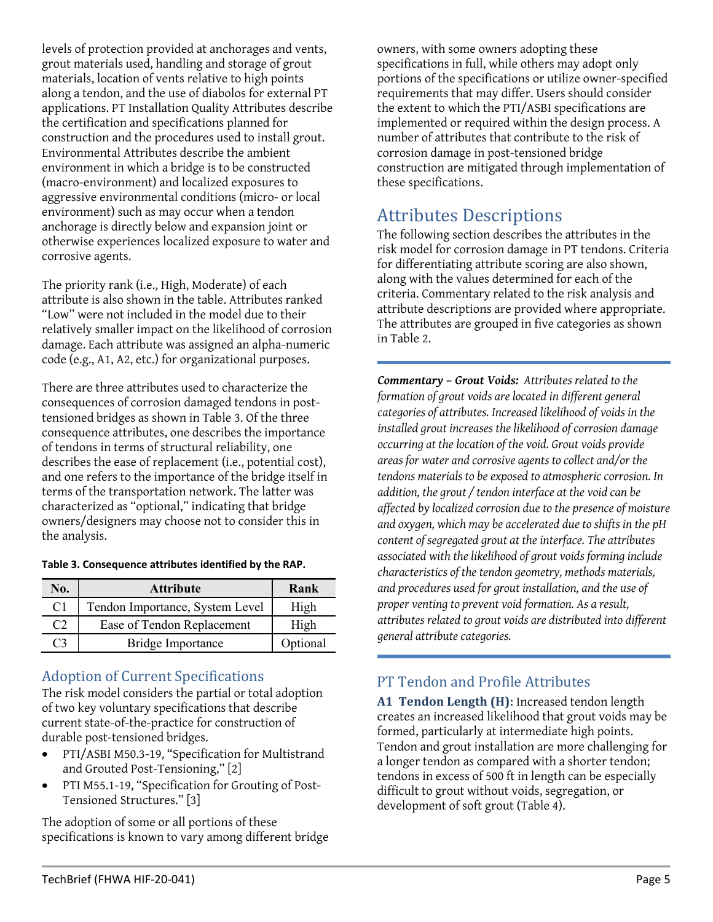levels of protection provided at anchorages and vents, grout materials used, handling and storage of grout materials, location of vents relative to high points along a tendon, and the use of diabolos for external PT applications. PT Installation Quality Attributes describe the certification and specifications planned for construction and the procedures used to install grout. Environmental Attributes describe the ambient environment in which a bridge is to be constructed (macro-environment) and localized exposures to aggressive environmental conditions (micro- or local environment) such as may occur when a tendon anchorage is directly below and expansion joint or otherwise experiences localized exposure to water and corrosive agents.

The priority rank (i.e., High, Moderate) of each attribute is also shown in the table. Attributes ranked "Low" were not included in the model due to their relatively smaller impact on the likelihood of corrosion damage. Each attribute was assigned an alpha-numeric code (e.g., A1, A2, etc.) for organizational purposes.

There are three attributes used to characterize the consequences of corrosion damaged tendons in posttensioned bridges as shown in [Table 3.](#page-4-0) Of the three consequence attributes, one describes the importance of tendons in terms of structural reliability, one describes the ease of replacement (i.e., potential cost), and one refers to the importance of the bridge itself in terms of the transportation network. The latter was characterized as "optional," indicating that bridge owners/designers may choose not to consider this in the analysis.

| No.       | <b>Attribute</b>                | Rank     |
|-----------|---------------------------------|----------|
| C1        | Tendon Importance, System Level | High     |
| $C\prime$ | Ease of Tendon Replacement      | High     |
| CЗ        | Bridge Importance               | Optional |

<span id="page-4-0"></span>**Table 3. Consequence attributes identified by the RAP.**

## Adoption of Current Specifications

The risk model considers the partial or total adoption of two key voluntary specifications that describe current state-of-the-practice for construction of durable post-tensioned bridges.

- PTI/ASBI M50.3-19, "Specification for Multistrand and Grouted Post-Tensioning," [2]
- PTI M55.1-19, "Specification for Grouting of Post-Tensioned Structures." [3]

The adoption of some or all portions of these specifications is known to vary among different bridge owners, with some owners adopting these specifications in full, while others may adopt only portions of the specifications or utilize owner-specified requirements that may differ. Users should consider the extent to which the PTI/ASBI specifications are implemented or required within the design process. A number of attributes that contribute to the risk of corrosion damage in post-tensioned bridge construction are mitigated through implementation of these specifications.

# Attributes Descriptions

The following section describes the attributes in the risk model for corrosion damage in PT tendons. Criteria for differentiating attribute scoring are also shown, along with the values determined for each of the criteria. Commentary related to the risk analysis and attribute descriptions are provided where appropriate. The attributes are grouped in five categories as shown i[n Table 2.](#page-3-0)

*Commentary – Grout Voids: Attributes related to the formation of grout voids are located in different general categories of attributes. Increased likelihood of voids in the installed grout increases the likelihood of corrosion damage occurring at the location of the void. Grout voids provide areas for water and corrosive agents to collect and/or the tendons materials to be exposed to atmospheric corrosion. In addition, the grout / tendon interface at the void can be affected by localized corrosion due to the presence of moisture and oxygen, which may be accelerated due to shifts in the pH content of segregated grout at the interface. The attributes associated with the likelihood of grout voids forming include characteristics of the tendon geometry, methods materials, and procedures used for grout installation, and the use of proper venting to prevent void formation. As a result, attributes related to grout voids are distributed into different general attribute categories.*

# PT Tendon and Profile Attributes

**A1 Tendon Length (H):** Increased tendon length creates an increased likelihood that grout voids may be formed, particularly at intermediate high points. Tendon and grout installation are more challenging for a longer tendon as compared with a shorter tendon; tendons in excess of 500 ft in length can be especially difficult to grout without voids, segregation, or development of soft grout [\(Table 4\)](#page-5-0).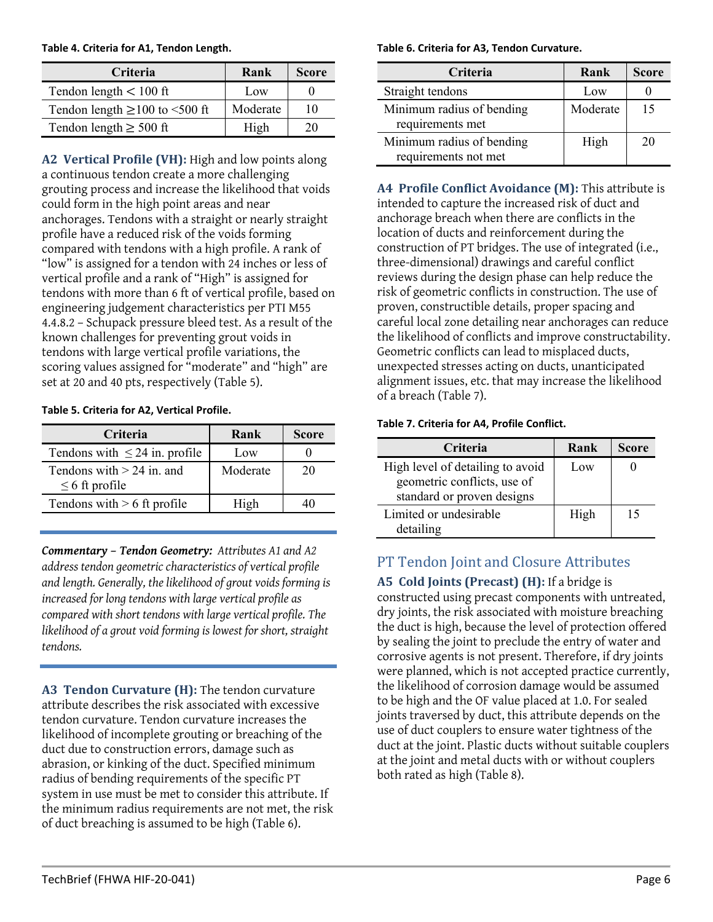<span id="page-5-0"></span>**Table 4. Criteria for A1, Tendon Length.**

| <b>Criteria</b>                     | Rank     | <b>Score</b> |
|-------------------------------------|----------|--------------|
| Tendon length $< 100$ ft            | Low      |              |
| Tendon length $\geq$ 100 to <500 ft | Moderate | 10           |
| Tendon length $\geq 500$ ft         | High     | 20           |

**A2 Vertical Profile (VH):** High and low points along a continuous tendon create a more challenging grouting process and increase the likelihood that voids could form in the high point areas and near anchorages. Tendons with a straight or nearly straight profile have a reduced risk of the voids forming compared with tendons with a high profile. A rank of "low" is assigned for a tendon with 24 inches or less of vertical profile and a rank of "High" is assigned for tendons with more than 6 ft of vertical profile, based on engineering judgement characteristics per PTI M55 4.4.8.2 – Schupack pressure bleed test. As a result of the known challenges for preventing grout voids in tendons with large vertical profile variations, the scoring values assigned for "moderate" and "high" are set at 20 and 40 pts, respectively [\(Table 5\)](#page-5-1).

#### <span id="page-5-1"></span>**Table 5. Criteria for A2, Vertical Profile.**

| Criteria                                           | Rank     | <b>Score</b> |
|----------------------------------------------------|----------|--------------|
| Tendons with $\leq 24$ in. profile                 | Low      |              |
| Tendons with $> 24$ in, and<br>$\leq 6$ ft profile | Moderate | 20           |
| Tendons with $> 6$ ft profile                      | High     |              |

*Commentary – Tendon Geometry: Attributes A1 and A2 address tendon geometric characteristics of vertical profile and length. Generally, the likelihood of grout voids forming is increased for long tendons with large vertical profile as compared with short tendons with large vertical profile. The likelihood of a grout void forming is lowest for short, straight tendons.*

**A3 Tendon Curvature (H):** The tendon curvature attribute describes the risk associated with excessive tendon curvature. Tendon curvature increases the likelihood of incomplete grouting or breaching of the duct due to construction errors, damage such as abrasion, or kinking of the duct. Specified minimum radius of bending requirements of the specific PT system in use must be met to consider this attribute. If the minimum radius requirements are not met, the risk of duct breaching is assumed to be high [\(Table 6\)](#page-5-2).

#### <span id="page-5-2"></span>**Table 6. Criteria for A3, Tendon Curvature.**

| Criteria                                          | Rank     | <b>Score</b> |
|---------------------------------------------------|----------|--------------|
| Straight tendons                                  | Low      |              |
| Minimum radius of bending<br>requirements met     | Moderate | 15           |
| Minimum radius of bending<br>requirements not met | High     | 20           |

**A4 Profile Conflict Avoidance (M):** This attribute is intended to capture the increased risk of duct and anchorage breach when there are conflicts in the location of ducts and reinforcement during the construction of PT bridges. The use of integrated (i.e., three-dimensional) drawings and careful conflict reviews during the design phase can help reduce the risk of geometric conflicts in construction. The use of proven, constructible details, proper spacing and careful local zone detailing near anchorages can reduce the likelihood of conflicts and improve constructability. Geometric conflicts can lead to misplaced ducts, unexpected stresses acting on ducts, unanticipated alignment issues, etc. that may increase the likelihood of a breach [\(Table 7\)](#page-5-3).

#### <span id="page-5-3"></span>**Table 7. Criteria for A4, Profile Conflict.**

| Criteria                                                                                      | Rank | <b>Score</b> |
|-----------------------------------------------------------------------------------------------|------|--------------|
| High level of detailing to avoid<br>geometric conflicts, use of<br>standard or proven designs | Low  |              |
| Limited or undesirable<br>detailing                                                           | High | 15           |

## PT Tendon Joint and Closure Attributes

**A5 Cold Joints (Precast) (H):** If a bridge is constructed using precast components with untreated, dry joints, the risk associated with moisture breaching the duct is high, because the level of protection offered by sealing the joint to preclude the entry of water and corrosive agents is not present. Therefore, if dry joints were planned, which is not accepted practice currently, the likelihood of corrosion damage would be assumed to be high and the OF value placed at 1.0. For sealed joints traversed by duct, this attribute depends on the use of duct couplers to ensure water tightness of the duct at the joint. Plastic ducts without suitable couplers at the joint and metal ducts with or without couplers both rated as high [\(Table 8\)](#page-6-0).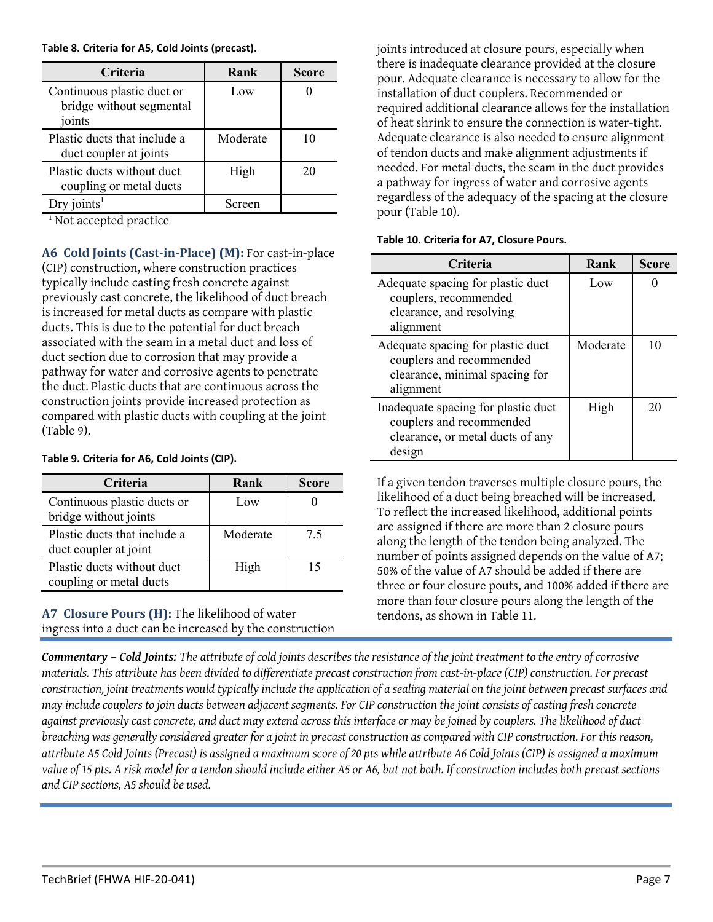<span id="page-6-0"></span>**Table 8. Criteria for A5, Cold Joints (precast).**

| <b>Criteria</b>                                                  | Rank     | <b>Score</b> |
|------------------------------------------------------------------|----------|--------------|
| Continuous plastic duct or<br>bridge without segmental<br>joints | Low      |              |
| Plastic ducts that include a<br>duct coupler at joints           | Moderate |              |
| Plastic ducts without duct<br>coupling or metal ducts            | High     | 20           |
| Dry joints <sup>1</sup>                                          | Screen   |              |

<sup>1</sup> Not accepted practice

**A6 Cold Joints (Cast-in-Place) (M):** For cast-in-place (CIP) construction, where construction practices typically include casting fresh concrete against previously cast concrete, the likelihood of duct breach is increased for metal ducts as compare with plastic ducts. This is due to the potential for duct breach associated with the seam in a metal duct and loss of duct section due to corrosion that may provide a pathway for water and corrosive agents to penetrate the duct. Plastic ducts that are continuous across the construction joints provide increased protection as compared with plastic ducts with coupling at the joint [\(Table 9\)](#page-6-1).

#### <span id="page-6-1"></span>**Table 9. Criteria for A6, Cold Joints (CIP).**

| Criteria                                              | Rank     | <b>Score</b> |
|-------------------------------------------------------|----------|--------------|
| Continuous plastic ducts or<br>bridge without joints  | Low      |              |
| Plastic ducts that include a<br>duct coupler at joint | Moderate | 7.5          |
| Plastic ducts without duct<br>coupling or metal ducts | High     | 15           |

**A7 Closure Pours (H):** The likelihood of water ingress into a duct can be increased by the construction joints introduced at closure pours, especially when there is inadequate clearance provided at the closure pour. Adequate clearance is necessary to allow for the installation of duct couplers. Recommended or required additional clearance allows for the installation of heat shrink to ensure the connection is water-tight. Adequate clearance is also needed to ensure alignment of tendon ducts and make alignment adjustments if needed. For metal ducts, the seam in the duct provides a pathway for ingress of water and corrosive agents regardless of the adequacy of the spacing at the closure pour [\(Table 10\)](#page-6-2).

#### <span id="page-6-2"></span>**Table 10. Criteria for A7, Closure Pours.**

| Criteria                                                                                                      | Rank     | <b>Score</b> |
|---------------------------------------------------------------------------------------------------------------|----------|--------------|
| Adequate spacing for plastic duct<br>couplers, recommended<br>clearance, and resolving<br>alignment           | Low      |              |
| Adequate spacing for plastic duct<br>couplers and recommended<br>clearance, minimal spacing for<br>alignment  | Moderate | 10           |
| Inadequate spacing for plastic duct<br>couplers and recommended<br>clearance, or metal ducts of any<br>design | High     | 20           |

If a given tendon traverses multiple closure pours, the likelihood of a duct being breached will be increased. To reflect the increased likelihood, additional points are assigned if there are more than 2 closure pours along the length of the tendon being analyzed. The number of points assigned depends on the value of A7; 50% of the value of A7 should be added if there are three or four closure pouts, and 100% added if there are more than four closure pours along the length of the tendons, as shown in [Table 11.](#page-7-0)

*Commentary – Cold Joints: The attribute of cold joints describes the resistance of the joint treatment to the entry of corrosive materials. This attribute has been divided to differentiate precast construction from cast-in-place (CIP) construction. For precast construction, joint treatments would typically include the application of a sealing material on the joint between precast surfaces and may include couplers to join ducts between adjacent segments. For CIP construction the joint consists of casting fresh concrete against previously cast concrete, and duct may extend across this interface or may be joined by couplers. The likelihood of duct breaching was generally considered greater for a joint in precast construction as compared with CIP construction. For this reason, attribute A5 Cold Joints (Precast) is assigned a maximum score of 20 pts while attribute A6 Cold Joints (CIP) is assigned a maximum value of 15 pts. A risk model for a tendon should include either A5 or A6, but not both. If construction includes both precast sections and CIP sections, A5 should be used.*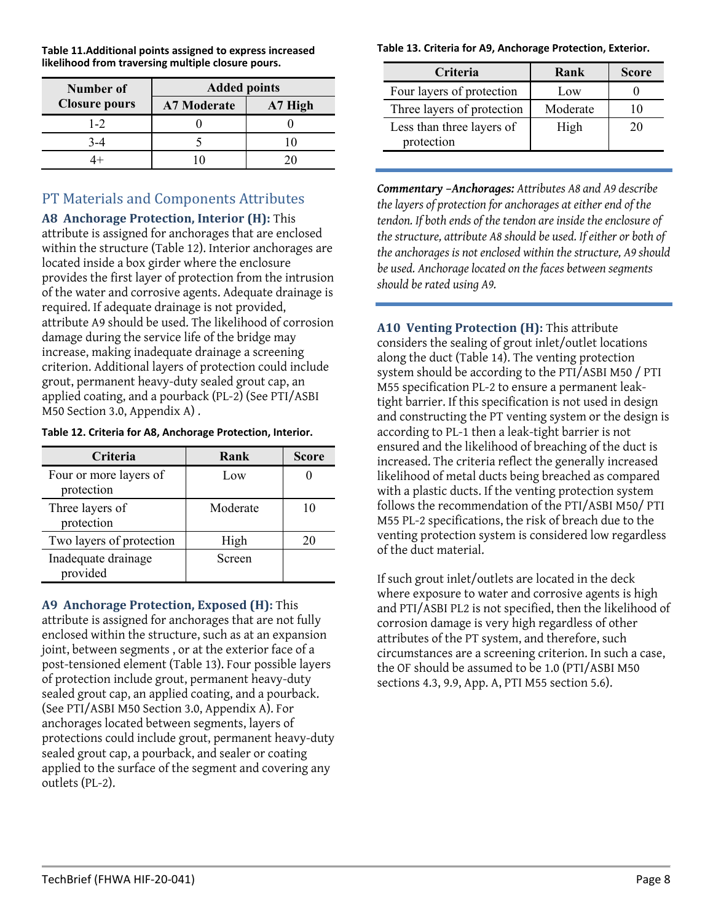<span id="page-7-0"></span>**Table 11.Additional points assigned to express increased likelihood from traversing multiple closure pours.**

| Number of            | <b>Added points</b> |         |  |
|----------------------|---------------------|---------|--|
| <b>Closure pours</b> | <b>A7 Moderate</b>  | A7 High |  |
| $1 - 2$              |                     |         |  |
| $3 - 4$              |                     | l ()    |  |
| $^{1+}$              |                     |         |  |

### PT Materials and Components Attributes

**A8 Anchorage Protection, Interior (H):** This attribute is assigned for anchorages that are enclosed within the structure [\(Table 12\)](#page-7-1). Interior anchorages are located inside a box girder where the enclosure provides the first layer of protection from the intrusion of the water and corrosive agents. Adequate drainage is required. If adequate drainage is not provided, attribute A9 should be used. The likelihood of corrosion damage during the service life of the bridge may increase, making inadequate drainage a screening criterion. Additional layers of protection could include grout, permanent heavy-duty sealed grout cap, an applied coating, and a pourback (PL-2) (See PTI/ASBI M50 Section 3.0, Appendix A) .

#### <span id="page-7-1"></span>**Table 12. Criteria for A8, Anchorage Protection, Interior.**

| Criteria                             | Rank     | <b>Score</b> |
|--------------------------------------|----------|--------------|
| Four or more layers of<br>protection | Low      |              |
| Three layers of<br>protection        | Moderate | 10           |
| Two layers of protection             | High     | 20           |
| Inadequate drainage<br>provided      | Screen   |              |

**A9 Anchorage Protection, Exposed (H):** This attribute is assigned for anchorages that are not fully enclosed within the structure, such as at an expansion joint, between segments , or at the exterior face of a post-tensioned element [\(Table 13\)](#page-7-2). Four possible layers of protection include grout, permanent heavy-duty sealed grout cap, an applied coating, and a pourback. (See PTI/ASBI M50 Section 3.0, Appendix A). For anchorages located between segments, layers of protections could include grout, permanent heavy-duty sealed grout cap, a pourback, and sealer or coating applied to the surface of the segment and covering any outlets (PL-2).

### <span id="page-7-2"></span>**Table 13. Criteria for A9, Anchorage Protection, Exterior.**

| <b>Criteria</b>                         | Rank     | <b>Score</b> |
|-----------------------------------------|----------|--------------|
| Four layers of protection               | Low      |              |
| Three layers of protection              | Moderate |              |
| Less than three layers of<br>protection | High     | 20           |

*Commentary –Anchorages: Attributes A8 and A9 describe the layers of protection for anchorages at either end of the tendon. If both ends of the tendon are inside the enclosure of the structure, attribute A8 should be used. If either or both of the anchorages is not enclosed within the structure, A9 should be used. Anchorage located on the faces between segments should be rated using A9.*

**A10 Venting Protection (H):** This attribute considers the sealing of grout inlet/outlet locations along the duct [\(Table 14\)](#page-8-0). The venting protection system should be according to the PTI/ASBI M50 / PTI M55 specification PL-2 to ensure a permanent leaktight barrier. If this specification is not used in design and constructing the PT venting system or the design is according to PL-1 then a leak-tight barrier is not ensured and the likelihood of breaching of the duct is increased. The criteria reflect the generally increased likelihood of metal ducts being breached as compared with a plastic ducts. If the venting protection system follows the recommendation of the PTI/ASBI M50/ PTI M55 PL-2 specifications, the risk of breach due to the venting protection system is considered low regardless of the duct material.

If such grout inlet/outlets are located in the deck where exposure to water and corrosive agents is high and PTI/ASBI PL2 is not specified, then the likelihood of corrosion damage is very high regardless of other attributes of the PT system, and therefore, such circumstances are a screening criterion. In such a case, the OF should be assumed to be 1.0 (PTI/ASBI M50 sections 4.3, 9.9, App. A, PTI M55 section 5.6).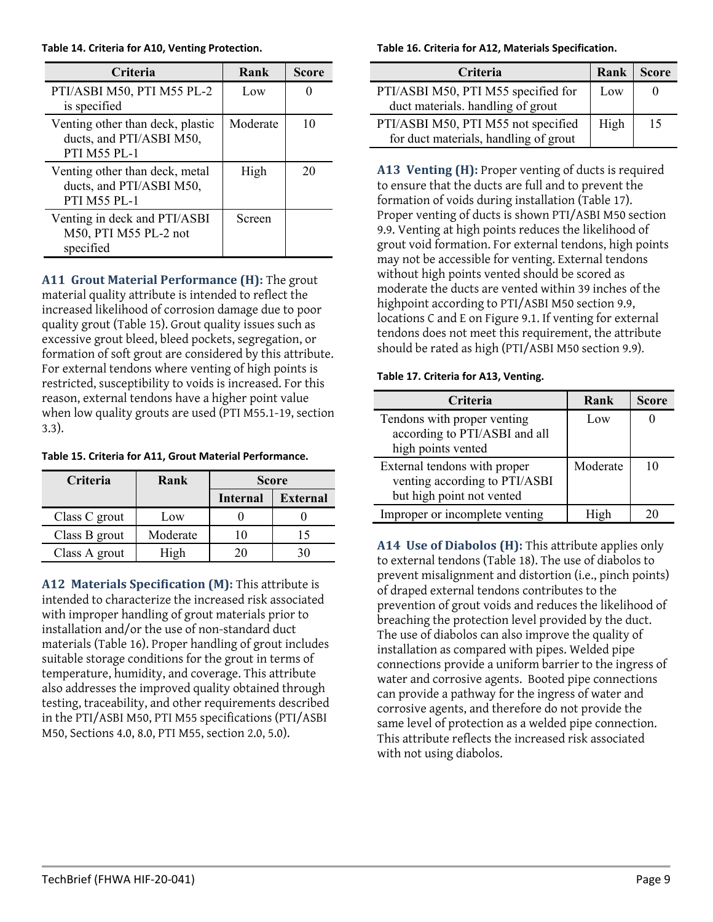<span id="page-8-0"></span>**Table 14. Criteria for A10, Venting Protection.**

| Criteria                                                                            | Rank     | Score |
|-------------------------------------------------------------------------------------|----------|-------|
| PTI/ASBI M50, PTI M55 PL-2<br>is specified                                          | Low      |       |
| Venting other than deck, plastic<br>ducts, and PTI/ASBI M50,<br><b>PTI M55 PL-1</b> | Moderate | 10    |
| Venting other than deck, metal<br>ducts, and PTI/ASBI M50,<br><b>PTI M55 PL-1</b>   | High     | 20    |
| Venting in deck and PTI/ASBI<br>M50, PTI M55 PL-2 not<br>specified                  | Screen   |       |

**A11 Grout Material Performance (H):** The grout material quality attribute is intended to reflect the increased likelihood of corrosion damage due to poor quality grout [\(Table 15\)](#page-8-1). Grout quality issues such as excessive grout bleed, bleed pockets, segregation, or formation of soft grout are considered by this attribute. For external tendons where venting of high points is restricted, susceptibility to voids is increased. For this reason, external tendons have a higher point value when low quality grouts are used (PTI M55.1-19, section 3.3).

<span id="page-8-1"></span>

|  | Table 15. Criteria for A11, Grout Material Performance. |  |  |
|--|---------------------------------------------------------|--|--|
|--|---------------------------------------------------------|--|--|

| Criteria      | Rank     | <b>Score</b>    |                 |
|---------------|----------|-----------------|-----------------|
|               |          | <b>Internal</b> | <b>External</b> |
| Class C grout | Low      |                 |                 |
| Class B grout | Moderate |                 | 15              |
| Class A grout | High     | 20              |                 |

**A12 Materials Specification (M):** This attribute is intended to characterize the increased risk associated with improper handling of grout materials prior to installation and/or the use of non-standard duct materials [\(Table 16\)](#page-8-2). Proper handling of grout includes suitable storage conditions for the grout in terms of temperature, humidity, and coverage. This attribute also addresses the improved quality obtained through testing, traceability, and other requirements described in the PTI/ASBI M50, PTI M55 specifications (PTI/ASBI M50, Sections 4.0, 8.0, PTI M55, section 2.0, 5.0).

<span id="page-8-2"></span>**Table 16. Criteria for A12, Materials Specification.**

| <b>Criteria</b>                                                              | Rank | <b>Score</b> |
|------------------------------------------------------------------------------|------|--------------|
| PTI/ASBI M50, PTI M55 specified for<br>duct materials. handling of grout     | Low  |              |
| PTI/ASBI M50, PTI M55 not specified<br>for duct materials, handling of grout | High | 15           |

**A13 Venting (H):** Proper venting of ducts is required to ensure that the ducts are full and to prevent the formation of voids during installation [\(Table 17\)](#page-8-3). Proper venting of ducts is shown PTI/ASBI M50 section 9.9. Venting at high points reduces the likelihood of grout void formation. For external tendons, high points may not be accessible for venting. External tendons without high points vented should be scored as moderate the ducts are vented within 39 inches of the highpoint according to PTI/ASBI M50 section 9.9, locations C and E on Figure 9.1. If venting for external tendons does not meet this requirement, the attribute should be rated as high (PTI/ASBI M50 section 9.9).

#### <span id="page-8-3"></span>**Table 17. Criteria for A13, Venting.**

| Criteria                                                                                   | Rank     | <b>Score</b> |
|--------------------------------------------------------------------------------------------|----------|--------------|
| Tendons with proper venting<br>according to PTI/ASBI and all<br>high points vented         | Low      |              |
| External tendons with proper<br>venting according to PTI/ASBI<br>but high point not vented | Moderate |              |
| Improper or incomplete venting                                                             | High     |              |

**A14 Use of Diabolos (H):** This attribute applies only to external tendons [\(Table 18\)](#page-9-0). The use of diabolos to prevent misalignment and distortion (i.e., pinch points) of draped external tendons contributes to the prevention of grout voids and reduces the likelihood of breaching the protection level provided by the duct. The use of diabolos can also improve the quality of installation as compared with pipes. Welded pipe connections provide a uniform barrier to the ingress of water and corrosive agents. Booted pipe connections can provide a pathway for the ingress of water and corrosive agents, and therefore do not provide the same level of protection as a welded pipe connection. This attribute reflects the increased risk associated with not using diabolos.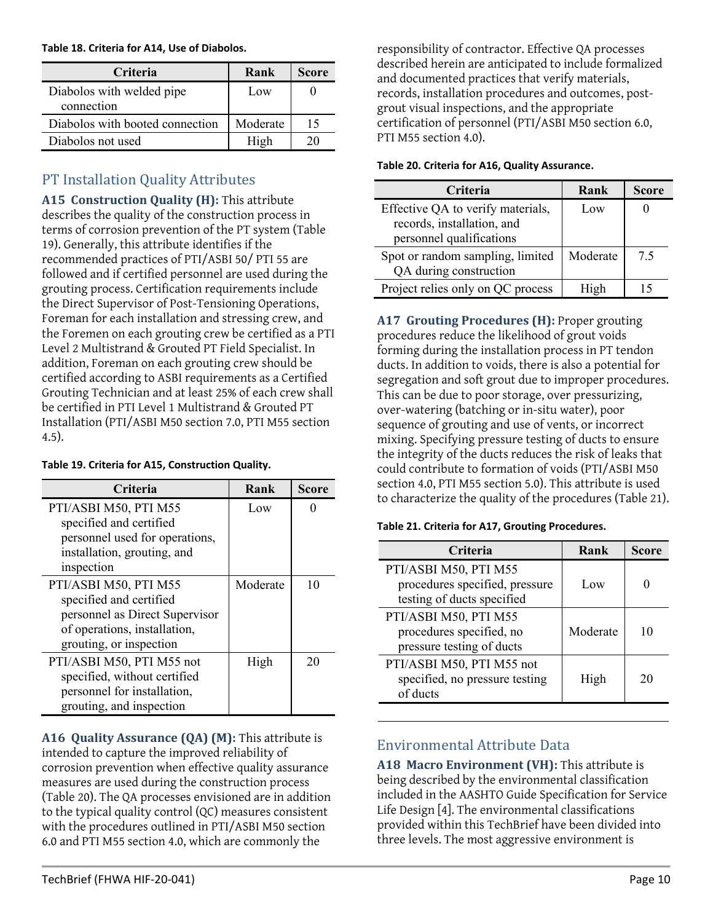<span id="page-9-0"></span>**Table 18. Criteria for A14, Use of Diabolos.**

| <b>Criteria</b>                         | Rank     | Score |
|-----------------------------------------|----------|-------|
| Diabolos with welded pipe<br>connection | Low      |       |
| Diabolos with booted connection         | Moderate | 15    |
| Diabolos not used                       | High     |       |

### PT Installation Quality Attributes

**A15 Construction Quality (H):** This attribute describes the quality of the construction process in terms of corrosion prevention of the PT system [\(Table](#page-9-1)  [19\)](#page-9-1). Generally, this attribute identifies if the recommended practices of PTI/ASBI 50/ PTI 55 are followed and if certified personnel are used during the grouting process. Certification requirements include the Direct Supervisor of Post-Tensioning Operations, Foreman for each installation and stressing crew, and the Foremen on each grouting crew be certified as a PTI Level 2 Multistrand & Grouted PT Field Specialist. In addition, Foreman on each grouting crew should be certified according to ASBI requirements as a Certified Grouting Technician and at least 25% of each crew shall be certified in PTI Level 1 Multistrand & Grouted PT Installation (PTI/ASBI M50 section 7.0, PTI M55 section 4.5).

#### <span id="page-9-1"></span>**Table 19. Criteria for A15, Construction Quality.**

| <b>Criteria</b>                | Rank     | <b>Score</b> |
|--------------------------------|----------|--------------|
| PTI/ASBI M50, PTI M55          | Low      |              |
| specified and certified        |          |              |
| personnel used for operations, |          |              |
| installation, grouting, and    |          |              |
| inspection                     |          |              |
| PTI/ASBI M50, PTI M55          | Moderate | 10           |
| specified and certified        |          |              |
| personnel as Direct Supervisor |          |              |
| of operations, installation,   |          |              |
| grouting, or inspection        |          |              |
| PTI/ASBI M50, PTI M55 not      | High     | 20           |
| specified, without certified   |          |              |
| personnel for installation,    |          |              |
| grouting, and inspection       |          |              |

**A16 Quality Assurance (QA) (M):** This attribute is intended to capture the improved reliability of corrosion prevention when effective quality assurance measures are used during the construction process [\(Table 20\)](#page-9-2). The QA processes envisioned are in addition to the typical quality control (QC) measures consistent with the procedures outlined in PTI/ASBI M50 section 6.0 and PTI M55 section 4.0, which are commonly the

responsibility of contractor. Effective QA processes described herein are anticipated to include formalized and documented practices that verify materials, records, installation procedures and outcomes, postgrout visual inspections, and the appropriate certification of personnel (PTI/ASBI M50 section 6.0, PTI M55 section 4.0).

#### <span id="page-9-2"></span>**Table 20. Criteria for A16, Quality Assurance.**

| Criteria                          | Rank     | <b>Score</b> |
|-----------------------------------|----------|--------------|
| Effective QA to verify materials, | Low      |              |
| records, installation, and        |          |              |
| personnel qualifications          |          |              |
| Spot or random sampling, limited  | Moderate | 7.5          |
| QA during construction            |          |              |
| Project relies only on QC process | High     | 15           |

**A17 Grouting Procedures (H):** Proper grouting procedures reduce the likelihood of grout voids forming during the installation process in PT tendon ducts. In addition to voids, there is also a potential for segregation and soft grout due to improper procedures. This can be due to poor storage, over pressurizing, over-watering (batching or in-situ water), poor sequence of grouting and use of vents, or incorrect mixing. Specifying pressure testing of ducts to ensure the integrity of the ducts reduces the risk of leaks that could contribute to formation of voids (PTI/ASBI M50 section 4.0, PTI M55 section 5.0). This attribute is used to characterize the quality of the procedures [\(Table 21\)](#page-9-3).

#### <span id="page-9-3"></span>**Table 21. Criteria for A17, Grouting Procedures.**

| Criteria                                                                              | Rank     | <b>Score</b> |
|---------------------------------------------------------------------------------------|----------|--------------|
| PTI/ASBI M50, PTI M55<br>procedures specified, pressure<br>testing of ducts specified | Low      |              |
| PTI/ASBI M50, PTI M55<br>procedures specified, no<br>pressure testing of ducts        | Moderate | 10           |
| PTI/ASBI M50, PTI M55 not<br>specified, no pressure testing<br>of ducts               | High     | 20           |

### Environmental Attribute Data

**A18 Macro Environment (VH):** This attribute is being described by the environmental classification included in the AASHTO Guide Specification for Service Life Design [4]. The environmental classifications provided within this TechBrief have been divided into three levels. The most aggressive environment is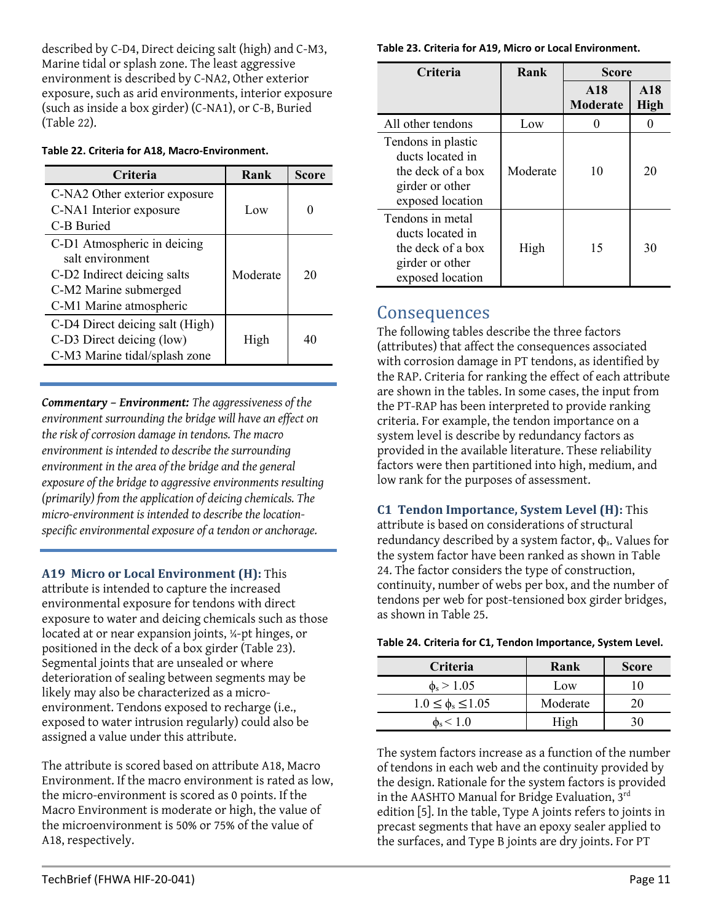described by C-D4, Direct deicing salt (high) and C-M3, Marine tidal or splash zone. The least aggressive environment is described by C-NA2, Other exterior exposure, such as arid environments, interior exposure (such as inside a box girder) (C-NA1), or C-B, Buried [\(Table 22\)](#page-10-0).

#### <span id="page-10-0"></span>**Table 22. Criteria for A18, Macro-Environment.**

| <b>Criteria</b>                                 | Rank     | Score |
|-------------------------------------------------|----------|-------|
| C-NA2 Other exterior exposure                   |          |       |
| C-NA1 Interior exposure                         | Low      |       |
| C-B Buried                                      |          |       |
| C-D1 Atmospheric in deicing<br>salt environment |          |       |
| C-D2 Indirect deicing salts                     | Moderate | 20    |
| C-M2 Marine submerged                           |          |       |
| C-M1 Marine atmospheric                         |          |       |
| C-D4 Direct deicing salt (High)                 |          |       |
| C-D3 Direct deicing (low)                       | High     | 40    |
| C-M3 Marine tidal/splash zone                   |          |       |

*Commentary – Environment: The aggressiveness of the environment surrounding the bridge will have an effect on the risk of corrosion damage in tendons. The macro environment is intended to describe the surrounding environment in the area of the bridge and the general exposure of the bridge to aggressive environments resulting (primarily) from the application of deicing chemicals. The micro-environment is intended to describe the locationspecific environmental exposure of a tendon or anchorage.*

**A19 Micro or Local Environment (H):** This attribute is intended to capture the increased environmental exposure for tendons with direct exposure to water and deicing chemicals such as those located at or near expansion joints, ¼-pt hinges, or positioned in the deck of a box girder [\(Table 23\)](#page-10-1). Segmental joints that are unsealed or where deterioration of sealing between segments may be likely may also be characterized as a microenvironment. Tendons exposed to recharge (i.e., exposed to water intrusion regularly) could also be assigned a value under this attribute.

The attribute is scored based on attribute A18, Macro Environment. If the macro environment is rated as low, the micro-environment is scored as 0 points. If the Macro Environment is moderate or high, the value of the microenvironment is 50% or 75% of the value of A18, respectively.

<span id="page-10-1"></span>**Table 23. Criteria for A19, Micro or Local Environment.**

| <b>Criteria</b>                                                                                    | Rank     | <b>Score</b>           |                    |
|----------------------------------------------------------------------------------------------------|----------|------------------------|--------------------|
|                                                                                                    |          | A18<br><b>Moderate</b> | A18<br><b>High</b> |
| All other tendons                                                                                  | Low      |                        |                    |
| Tendons in plastic<br>ducts located in<br>the deck of a box<br>girder or other<br>exposed location | Moderate | 10                     | 20                 |
| Tendons in metal<br>ducts located in<br>the deck of a box<br>girder or other<br>exposed location   | High     | 15                     | 30                 |

# **Consequences**

The following tables describe the three factors (attributes) that affect the consequences associated with corrosion damage in PT tendons, as identified by the RAP. Criteria for ranking the effect of each attribute are shown in the tables. In some cases, the input from the PT-RAP has been interpreted to provide ranking criteria. For example, the tendon importance on a system level is describe by redundancy factors as provided in the available literature. These reliability factors were then partitioned into high, medium, and low rank for the purposes of assessment.

**C1 Tendon Importance, System Level (H):** This attribute is based on considerations of structural redundancy described by a system factor,  $\phi_s$ . Values for the system factor have been ranked as shown in [Table](#page-10-2)  [24.](#page-10-2) The factor considers the type of construction, continuity, number of webs per box, and the number of tendons per web for post-tensioned box girder bridges, as shown in [Table 25.](#page-11-0)

#### <span id="page-10-2"></span>**Table 24. Criteria for C1, Tendon Importance, System Level.**

| Criteria                    | Rank     | <b>Score</b> |
|-----------------------------|----------|--------------|
| $\phi_{\rm s}$ > 1.05       | Low      |              |
| $1.0 \leq \phi_s \leq 1.05$ | Moderate | 20           |
| $\phi_{\rm s}$ < 1.0        | High     |              |

The system factors increase as a function of the number of tendons in each web and the continuity provided by the design. Rationale for the system factors is provided in the AASHTO Manual for Bridge Evaluation, 3<sup>rd</sup> edition [5]. In the table, Type A joints refers to joints in precast segments that have an epoxy sealer applied to the surfaces, and Type B joints are dry joints. For PT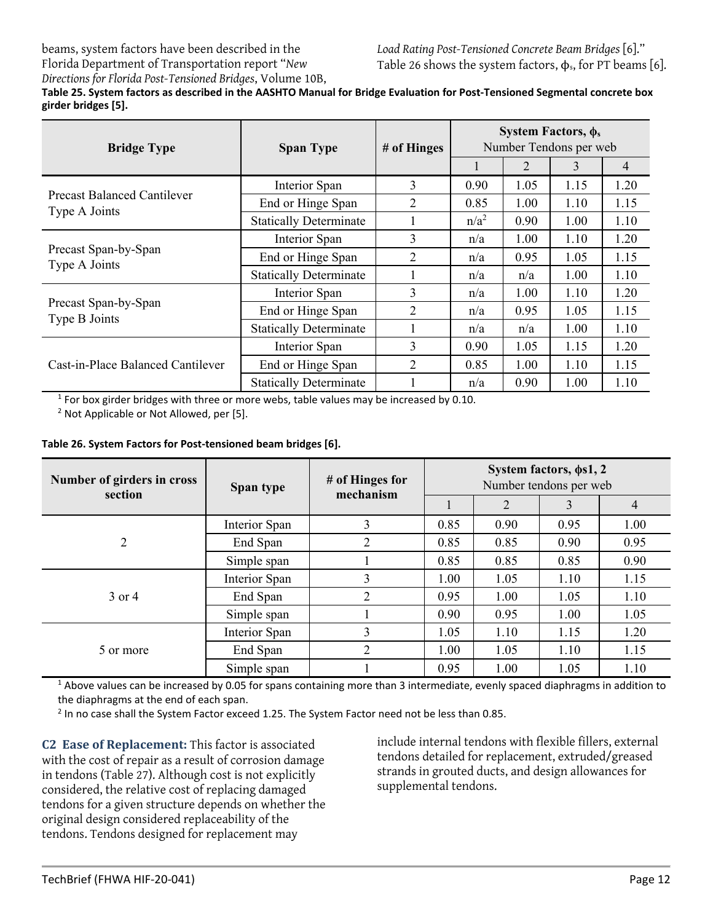beams, system factors have been described in the Florida Department of Transportation report "*New* 

<span id="page-11-0"></span>*Directions for Florida Post-Tensioned Bridges*, Volume 10B, **Table 25. System factors as described in the AASHTO Manual for Bridge Evaluation for Post-Tensioned Segmental concrete box girder bridges [5].** 

| <b>Bridge Type</b>                                  | <b>Span Type</b>              | # of Hinges | System Factors, $\phi_s$<br>Number Tendons per web |                |      |                |
|-----------------------------------------------------|-------------------------------|-------------|----------------------------------------------------|----------------|------|----------------|
|                                                     |                               |             |                                                    | $\overline{2}$ | 3    | $\overline{4}$ |
|                                                     | Interior Span                 | 3           | 0.90                                               | 1.05           | 1.15 | 1.20           |
| <b>Precast Balanced Cantilever</b><br>Type A Joints | End or Hinge Span             | 2           | 0.85                                               | 1.00           | 1.10 | 1.15           |
|                                                     | <b>Statically Determinate</b> |             | $n/a^2$                                            | 0.90           | 1.00 | 1.10           |
|                                                     | Interior Span                 | 3           | n/a                                                | 1.00           | 1.10 | 1.20           |
| Precast Span-by-Span<br>Type A Joints               | End or Hinge Span             | 2           | n/a                                                | 0.95           | 1.05 | 1.15           |
|                                                     | <b>Statically Determinate</b> |             | n/a                                                | n/a            | 1.00 | 1.10           |
|                                                     | Interior Span                 | 3           | n/a                                                | 1.00           | 1.10 | 1.20           |
| Precast Span-by-Span<br>Type B Joints               | End or Hinge Span             | 2           | n/a                                                | 0.95           | 1.05 | 1.15           |
|                                                     | <b>Statically Determinate</b> |             | n/a                                                | n/a            | 1.00 | 1.10           |
|                                                     | Interior Span                 | 3           | 0.90                                               | 1.05           | 1.15 | 1.20           |
| Cast-in-Place Balanced Cantilever                   | End or Hinge Span             | 2           | 0.85                                               | 1.00           | 1.10 | 1.15           |
|                                                     | <b>Statically Determinate</b> |             | n/a                                                | 0.90           | 1.00 | 1.10           |

 $1$  For box girder bridges with three or more webs, table values may be increased by 0.10.

<sup>2</sup> Not Applicable or Not Allowed, per [5].

#### <span id="page-11-1"></span>**Table 26. System Factors for Post-tensioned beam bridges [6].**

| Number of girders in cross<br>section | # of Hinges for<br>Span type<br>mechanism | System factors, $\phi s1, 2$<br>Number tendons per web |      |      |      |      |
|---------------------------------------|-------------------------------------------|--------------------------------------------------------|------|------|------|------|
|                                       |                                           |                                                        |      | 2    | 3    | 4    |
|                                       | Interior Span                             | 3                                                      | 0.85 | 0.90 | 0.95 | 1.00 |
| 2                                     | End Span                                  | 2                                                      | 0.85 | 0.85 | 0.90 | 0.95 |
|                                       | Simple span                               |                                                        | 0.85 | 0.85 | 0.85 | 0.90 |
|                                       | Interior Span                             | 3                                                      | 1.00 | 1.05 | 1.10 | 1.15 |
| $3$ or $4$                            | End Span                                  | $\overline{2}$                                         | 0.95 | 1.00 | 1.05 | 1.10 |
|                                       | Simple span                               |                                                        | 0.90 | 0.95 | 1.00 | 1.05 |
| 5 or more                             | Interior Span                             | 3                                                      | 1.05 | 1.10 | 1.15 | 1.20 |
|                                       | End Span                                  | $\overline{2}$                                         | 1.00 | 1.05 | 1.10 | 1.15 |
|                                       | Simple span                               |                                                        | 0.95 | 1.00 | 1.05 | 1.10 |

 $1$  Above values can be increased by 0.05 for spans containing more than 3 intermediate, evenly spaced diaphragms in addition to the diaphragms at the end of each span.

<sup>2</sup> In no case shall the System Factor exceed 1.25. The System Factor need not be less than 0.85.

**C2 Ease of Replacement:** This factor is associated with the cost of repair as a result of corrosion damage in tendons [\(Table 27\)](#page-12-0). Although cost is not explicitly considered, the relative cost of replacing damaged tendons for a given structure depends on whether the original design considered replaceability of the tendons. Tendons designed for replacement may

include internal tendons with flexible fillers, external tendons detailed for replacement, extruded/greased strands in grouted ducts, and design allowances for supplemental tendons.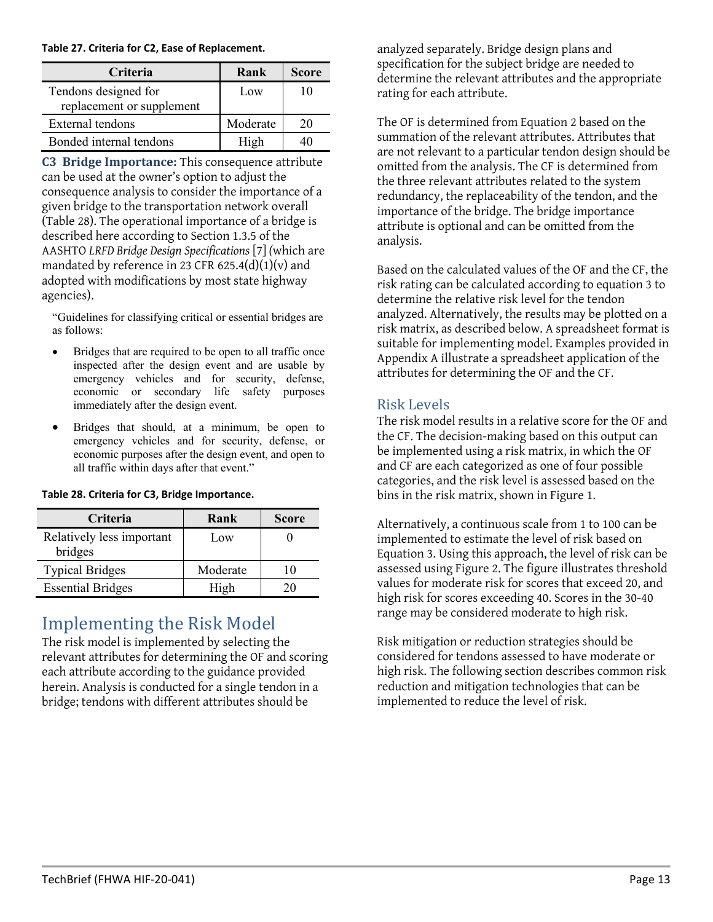#### <span id="page-12-0"></span>**Table 27. Criteria for C2, Ease of Replacement.**

| <b>Criteria</b>           | Rank     | <b>Score</b> |
|---------------------------|----------|--------------|
| Tendons designed for      | Low      | I ( )        |
| replacement or supplement |          |              |
| External tendons          | Moderate | 20           |
| Bonded internal tendons   | High     |              |

**C3 Bridge Importance:** This consequence attribute can be used at the owner's option to adjust the consequence analysis to consider the importance of a given bridge to the transportation network overall [\(Table 28\)](#page-12-1). The operational importance of a bridge is described here according to Section 1.3.5 of the AASHTO *LRFD Bridge Design Specifications* [7] *(*which are mandated by reference in 23 CFR 625.4(d)(1)(v) and adopted with modifications by most state highway agencies).

"Guidelines for classifying critical or essential bridges are as follows:

- Bridges that are required to be open to all traffic once inspected after the design event and are usable by emergency vehicles and for security, defense, economic or secondary life safety purposes immediately after the design event.
- Bridges that should, at a minimum, be open to emergency vehicles and for security, defense, or economic purposes after the design event, and open to all traffic within days after that event."

| Criteria                             | Rank     | <b>Score</b> |
|--------------------------------------|----------|--------------|
| Relatively less important<br>bridges | Low      |              |
| <b>Typical Bridges</b>               | Moderate |              |
| <b>Essential Bridges</b>             | High     |              |

#### <span id="page-12-1"></span>**Table 28. Criteria for C3, Bridge Importance.**

## Implementing the Risk Model

The risk model is implemented by selecting the relevant attributes for determining the OF and scoring each attribute according to the guidance provided herein. Analysis is conducted for a single tendon in a bridge; tendons with different attributes should be

analyzed separately. Bridge design plans and specification for the subject bridge are needed to determine the relevant attributes and the appropriate rating for each attribute.

The OF is determined from Equation 2 based on the summation of the relevant attributes. Attributes that are not relevant to a particular tendon design should be omitted from the analysis. The CF is determined from the three relevant attributes related to the system redundancy, the replaceability of the tendon, and the importance of the bridge. The bridge importance attribute is optional and can be omitted from the analysis.

Based on the calculated values of the OF and the CF, the risk rating can be calculated according to equation 3 to determine the relative risk level for the tendon analyzed. Alternatively, the results may be plotted on a risk matrix, as described below. A spreadsheet format is suitable for implementing model. Examples provided in Appendix A illustrate a spreadsheet application of the attributes for determining the OF and the CF.

### Risk Levels

The risk model results in a relative score for the OF and the CF. The decision-making based on this output can be implemented using a risk matrix, in which the OF and CF are each categorized as one of four possible categories, and the risk level is assessed based on the bins in the risk matrix, shown i[n Figure 1.](#page-2-0)

Alternatively, a continuous scale from 1 to 100 can be implemented to estimate the level of risk based on Equation 3. Using this approach, the level of risk can be assessed using [Figure 2.](#page-13-0) The figure illustrates threshold values for moderate risk for scores that exceed 20, and high risk for scores exceeding 40. Scores in the 30-40 range may be considered moderate to high risk.

Risk mitigation or reduction strategies should be considered for tendons assessed to have moderate or high risk. The following section describes common risk reduction and mitigation technologies that can be implemented to reduce the level of risk.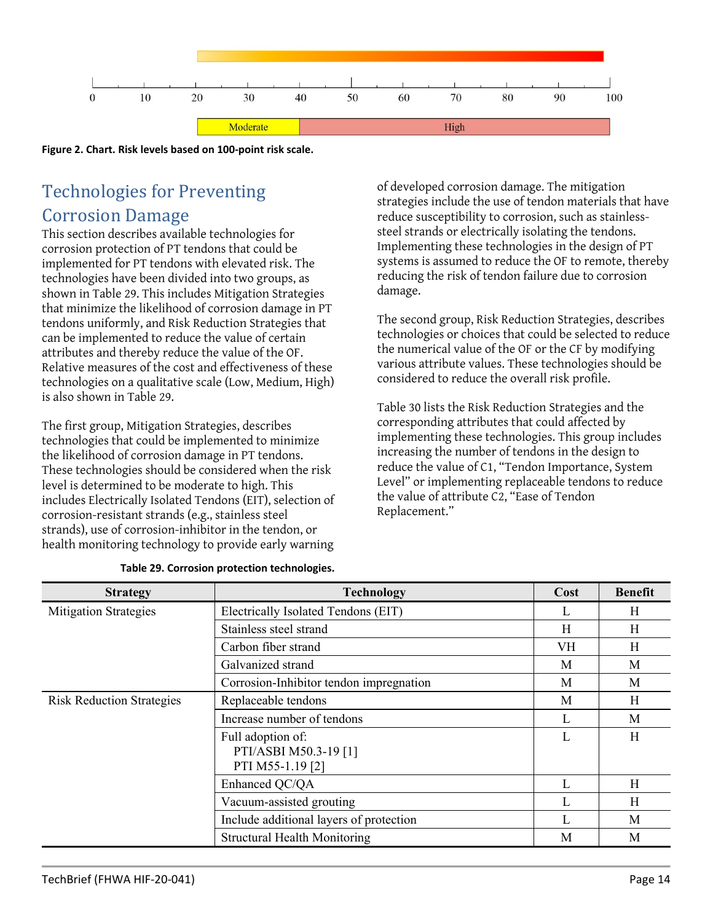

<span id="page-13-0"></span>**Figure 2. Chart. Risk levels based on 100-point risk scale.**

# Technologies for Preventing Corrosion Damage

This section describes available technologies for corrosion protection of PT tendons that could be implemented for PT tendons with elevated risk. The technologies have been divided into two groups, as shown in [Table 29.](#page-13-1) This includes Mitigation Strategies that minimize the likelihood of corrosion damage in PT tendons uniformly, and Risk Reduction Strategies that can be implemented to reduce the value of certain attributes and thereby reduce the value of the OF. Relative measures of the cost and effectiveness of these technologies on a qualitative scale (Low, Medium, High) is also shown i[n Table 29.](#page-13-1)

The first group, Mitigation Strategies, describes technologies that could be implemented to minimize the likelihood of corrosion damage in PT tendons. These technologies should be considered when the risk level is determined to be moderate to high. This includes Electrically Isolated Tendons (EIT), selection of corrosion-resistant strands (e.g., stainless steel strands), use of corrosion-inhibitor in the tendon, or health monitoring technology to provide early warning

of developed corrosion damage. The mitigation strategies include the use of tendon materials that have reduce susceptibility to corrosion, such as stainlesssteel strands or electrically isolating the tendons. Implementing these technologies in the design of PT systems is assumed to reduce the OF to remote, thereby reducing the risk of tendon failure due to corrosion damage.

The second group, Risk Reduction Strategies, describes technologies or choices that could be selected to reduce the numerical value of the OF or the CF by modifying various attribute values. These technologies should be considered to reduce the overall risk profile.

[Table 30](#page-14-0) lists the Risk Reduction Strategies and the corresponding attributes that could affected by implementing these technologies. This group includes increasing the number of tendons in the design to reduce the value of C1, "Tendon Importance, System Level" or implementing replaceable tendons to reduce the value of attribute C2, "Ease of Tendon Replacement."

<span id="page-13-1"></span>

| <b>Strategy</b>                  | <b>Technology</b>                                              | Cost | <b>Benefit</b> |
|----------------------------------|----------------------------------------------------------------|------|----------------|
| <b>Mitigation Strategies</b>     | Electrically Isolated Tendons (EIT)                            | L    | H              |
|                                  | Stainless steel strand                                         | H    | H              |
|                                  | Carbon fiber strand                                            | VH   | H              |
|                                  | Galvanized strand                                              | M    | M              |
|                                  | Corrosion-Inhibitor tendon impregnation                        | M    | M              |
| <b>Risk Reduction Strategies</b> | Replaceable tendons                                            | M    | H              |
|                                  | Increase number of tendons                                     | L    | M              |
|                                  | Full adoption of:<br>PTI/ASBI M50.3-19 [1]<br>PTI M55-1.19 [2] | L    | H              |
|                                  | Enhanced QC/QA                                                 | L    | H              |
|                                  | Vacuum-assisted grouting                                       | L    | H              |
|                                  | Include additional layers of protection                        | L    | M              |
|                                  | <b>Structural Health Monitoring</b>                            | M    | M              |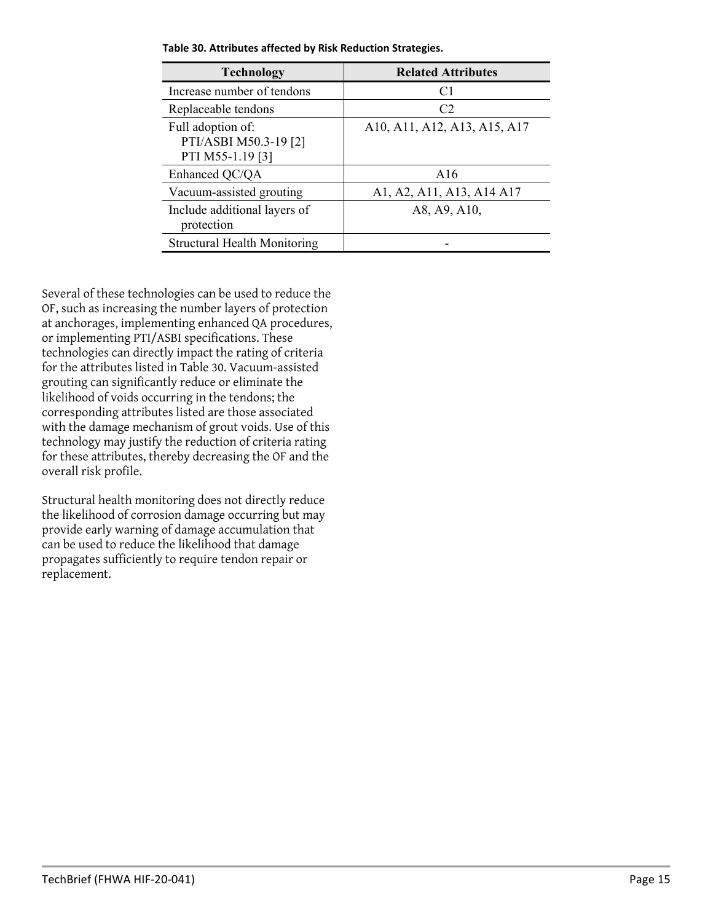| <b>Technology</b>                                              | <b>Related Attributes</b>    |
|----------------------------------------------------------------|------------------------------|
| Increase number of tendons                                     | C <sub>1</sub>               |
| Replaceable tendons                                            | C2                           |
| Full adoption of:<br>PTI/ASBI M50.3-19 [2]<br>PTI M55-1.19 [3] | A10, A11, A12, A13, A15, A17 |
| Enhanced QC/QA                                                 | A16                          |
| Vacuum-assisted grouting                                       | A1, A2, A11, A13, A14 A17    |
| Include additional layers of<br>protection                     | A8, A9, A10,                 |
| <b>Structural Health Monitoring</b>                            |                              |

<span id="page-14-0"></span>**Table 30. Attributes affected by Risk Reduction Strategies.**

Several of these technologies can be used to reduce the OF, such as increasing the number layers of protection at anchorages, implementing enhanced QA procedures, or implementing PTI/ASBI specifications. These technologies can directly impact the rating of criteria for the attributes listed i[n Table 30.](#page-14-0) Vacuum-assisted grouting can significantly reduce or eliminate the likelihood of voids occurring in the tendons; the corresponding attributes listed are those associated with the damage mechanism of grout voids. Use of this technology may justify the reduction of criteria rating for these attributes, thereby decreasing the OF and the overall risk profile.

Structural health monitoring does not directly reduce the likelihood of corrosion damage occurring but may provide early warning of damage accumulation that can be used to reduce the likelihood that damage propagates sufficiently to require tendon repair or replacement.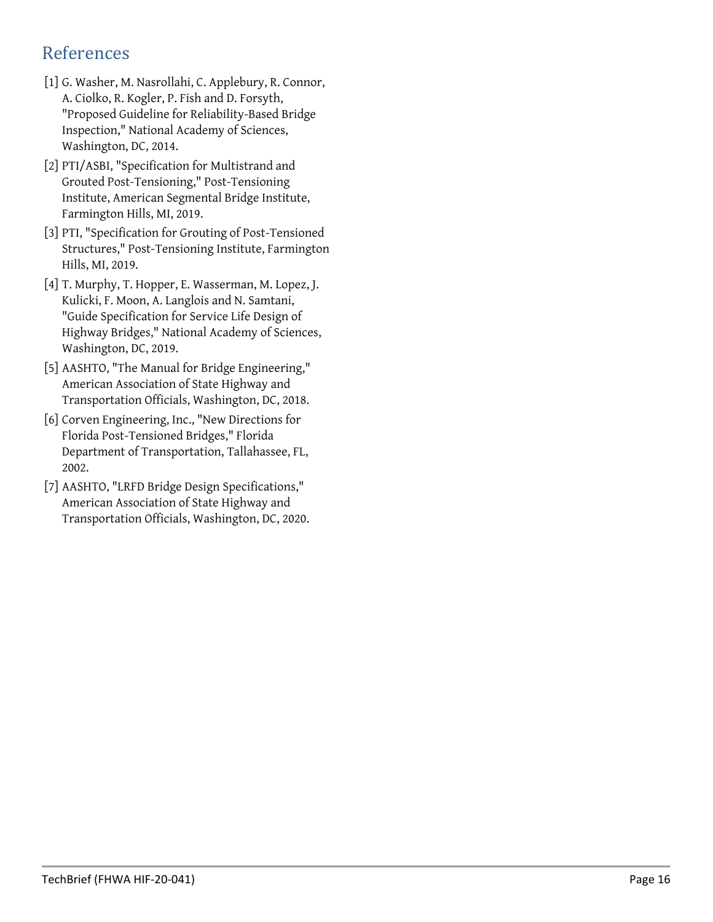# References

- [1] G. Washer, M. Nasrollahi, C. Applebury, R. Connor, A. Ciolko, R. Kogler, P. Fish and D. Forsyth, "Proposed Guideline for Reliability-Based Bridge Inspection," National Academy of Sciences, Washington, DC, 2014.
- [2] PTI/ASBI, "Specification for Multistrand and Grouted Post-Tensioning," Post-Tensioning Institute, American Segmental Bridge Institute, Farmington Hills, MI, 2019.
- [3] PTI, "Specification for Grouting of Post-Tensioned Structures," Post-Tensioning Institute, Farmington Hills, MI, 2019.
- [4] T. Murphy, T. Hopper, E. Wasserman, M. Lopez, J. Kulicki, F. Moon, A. Langlois and N. Samtani, "Guide Specification for Service Life Design of Highway Bridges," National Academy of Sciences, Washington, DC, 2019.
- [5] AASHTO, "The Manual for Bridge Engineering," American Association of State Highway and Transportation Officials, Washington, DC, 2018.
- [6] Corven Engineering, Inc., "New Directions for Florida Post-Tensioned Bridges," Florida Department of Transportation, Tallahassee, FL, 2002.
- [7] AASHTO, "LRFD Bridge Design Specifications," American Association of State Highway and Transportation Officials, Washington, DC, 2020.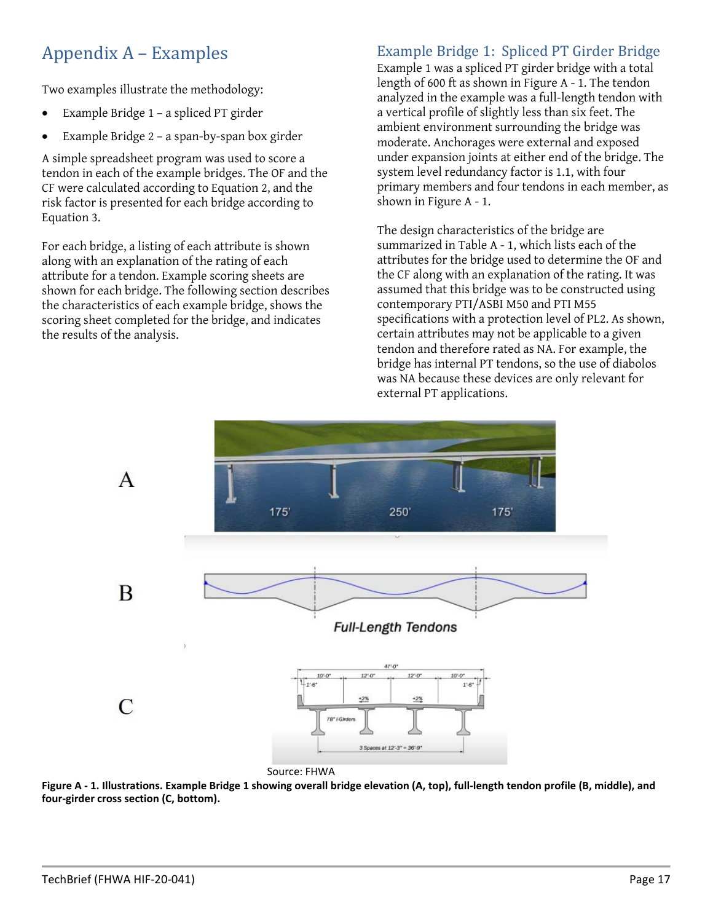# Appendix A – Examples

Two examples illustrate the methodology:

- Example Bridge 1 a spliced PT girder
- Example Bridge 2 a span-by-span box girder

A simple spreadsheet program was used to score a tendon in each of the example bridges. The OF and the CF were calculated according to Equation 2, and the risk factor is presented for each bridge according to [Equation 3.](#page-2-2)

For each bridge, a listing of each attribute is shown along with an explanation of the rating of each attribute for a tendon. Example scoring sheets are shown for each bridge. The following section describes the characteristics of each example bridge, shows the scoring sheet completed for the bridge, and indicates the results of the analysis.

# Example Bridge 1: Spliced PT Girder Bridge

Example 1 was a spliced PT girder bridge with a total length of 600 ft as shown in [Figure A - 1.](#page-16-0) The tendon analyzed in the example was a full-length tendon with a vertical profile of slightly less than six feet. The ambient environment surrounding the bridge was moderate. Anchorages were external and exposed under expansion joints at either end of the bridge. The system level redundancy factor is 1.1, with four primary members and four tendons in each member, as shown i[n Figure A - 1.](#page-16-0)

The design characteristics of the bridge are summarized i[n Table A - 1,](#page-17-0) which lists each of the attributes for the bridge used to determine the OF and the CF along with an explanation of the rating. It was assumed that this bridge was to be constructed using contemporary PTI/ASBI M50 and PTI M55 specifications with a protection level of PL2. As shown, certain attributes may not be applicable to a given tendon and therefore rated as NA. For example, the bridge has internal PT tendons, so the use of diabolos was NA because these devices are only relevant for external PT applications.



<span id="page-16-0"></span>**Figure A - 1. Illustrations. Example Bridge 1 showing overall bridge elevation (A, top), full-length tendon profile (B, middle), and four-girder cross section (C, bottom).**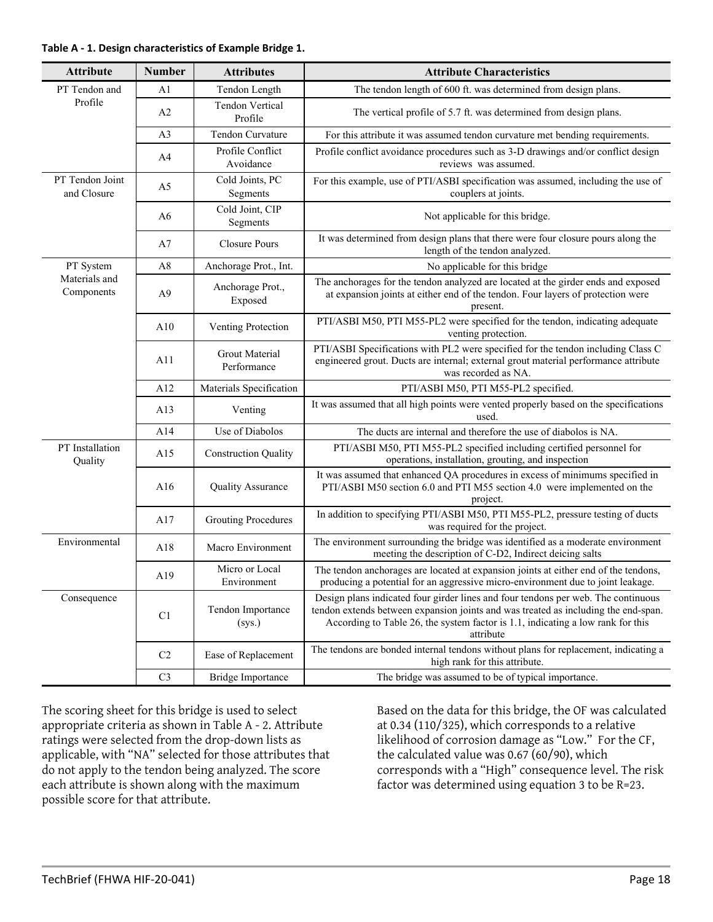#### <span id="page-17-0"></span>**Table A - 1. Design characteristics of Example Bridge 1.**

| <b>Attribute</b>               | <b>Number</b>  | <b>Attributes</b>                    | <b>Attribute Characteristics</b>                                                                                                                                                                                                                                        |
|--------------------------------|----------------|--------------------------------------|-------------------------------------------------------------------------------------------------------------------------------------------------------------------------------------------------------------------------------------------------------------------------|
| PT Tendon and                  | A1             | Tendon Length                        | The tendon length of 600 ft. was determined from design plans.                                                                                                                                                                                                          |
| Profile                        | A <sub>2</sub> | <b>Tendon Vertical</b><br>Profile    | The vertical profile of 5.7 ft. was determined from design plans.                                                                                                                                                                                                       |
|                                | A <sub>3</sub> | Tendon Curvature                     | For this attribute it was assumed tendon curvature met bending requirements.                                                                                                                                                                                            |
|                                | A <sup>4</sup> | Profile Conflict<br>Avoidance        | Profile conflict avoidance procedures such as 3-D drawings and/or conflict design<br>reviews was assumed.                                                                                                                                                               |
| PT Tendon Joint<br>and Closure | A5             | Cold Joints, PC<br>Segments          | For this example, use of PTI/ASBI specification was assumed, including the use of<br>couplers at joints.                                                                                                                                                                |
|                                | A6             | Cold Joint, CIP<br>Segments          | Not applicable for this bridge.                                                                                                                                                                                                                                         |
|                                | A7             | Closure Pours                        | It was determined from design plans that there were four closure pours along the<br>length of the tendon analyzed.                                                                                                                                                      |
| PT System                      | A8             | Anchorage Prot., Int.                | No applicable for this bridge                                                                                                                                                                                                                                           |
| Materials and<br>Components    | A <sub>9</sub> | Anchorage Prot.,<br>Exposed          | The anchorages for the tendon analyzed are located at the girder ends and exposed<br>at expansion joints at either end of the tendon. Four layers of protection were<br>present.                                                                                        |
|                                | A10            | Venting Protection                   | PTI/ASBI M50, PTI M55-PL2 were specified for the tendon, indicating adequate<br>venting protection.                                                                                                                                                                     |
|                                | A11            | <b>Grout Material</b><br>Performance | PTI/ASBI Specifications with PL2 were specified for the tendon including Class C<br>engineered grout. Ducts are internal; external grout material performance attribute<br>was recorded as NA.                                                                          |
|                                | A12            | Materials Specification              | PTI/ASBI M50, PTI M55-PL2 specified.                                                                                                                                                                                                                                    |
|                                | A13            | Venting                              | It was assumed that all high points were vented properly based on the specifications<br>used.                                                                                                                                                                           |
|                                | A14            | Use of Diabolos                      | The ducts are internal and therefore the use of diabolos is NA.                                                                                                                                                                                                         |
| PT Installation<br>Quality     | A15            | <b>Construction Quality</b>          | PTI/ASBI M50, PTI M55-PL2 specified including certified personnel for<br>operations, installation, grouting, and inspection                                                                                                                                             |
|                                | A16            | Quality Assurance                    | It was assumed that enhanced QA procedures in excess of minimums specified in<br>PTI/ASBI M50 section 6.0 and PTI M55 section 4.0 were implemented on the<br>project.                                                                                                   |
|                                | A17            | Grouting Procedures                  | In addition to specifying PTI/ASBI M50, PTI M55-PL2, pressure testing of ducts<br>was required for the project.                                                                                                                                                         |
| Environmental                  | A18            | Macro Environment                    | The environment surrounding the bridge was identified as a moderate environment<br>meeting the description of C-D2, Indirect deicing salts                                                                                                                              |
|                                | A19            | Micro or Local<br>Environment        | The tendon anchorages are located at expansion joints at either end of the tendons,<br>producing a potential for an aggressive micro-environment due to joint leakage.                                                                                                  |
| Consequence                    | C <sub>1</sub> | Tendon Importance<br>(sys.)          | Design plans indicated four girder lines and four tendons per web. The continuous<br>tendon extends between expansion joints and was treated as including the end-span.<br>According to Table 26, the system factor is 1.1, indicating a low rank for this<br>attribute |
|                                | C <sub>2</sub> | Ease of Replacement                  | The tendons are bonded internal tendons without plans for replacement, indicating a<br>high rank for this attribute.                                                                                                                                                    |
|                                | C <sub>3</sub> | Bridge Importance                    | The bridge was assumed to be of typical importance.                                                                                                                                                                                                                     |

The scoring sheet for this bridge is used to select appropriate criteria as shown in [Table A - 2.](#page-18-0) Attribute ratings were selected from the drop-down lists as applicable, with "NA" selected for those attributes that do not apply to the tendon being analyzed. The score each attribute is shown along with the maximum possible score for that attribute.

Based on the data for this bridge, the OF was calculated at 0.34 (110/325), which corresponds to a relative likelihood of corrosion damage as "Low." For the CF, the calculated value was 0.67 (60/90), which corresponds with a "High" consequence level. The risk factor was determined using equation 3 to be R=23.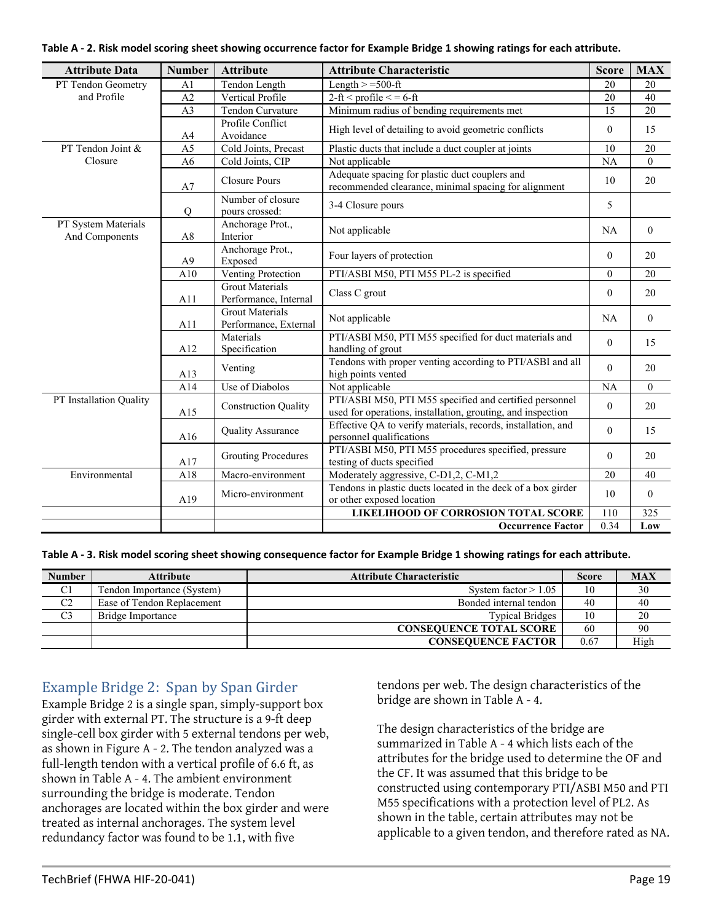<span id="page-18-0"></span>

| <b>Attribute Data</b>                 | <b>Number</b>   | <b>Attribute</b>                                | <b>Attribute Characteristic</b>                                                                                        | <b>Score</b>    | <b>MAX</b>     |
|---------------------------------------|-----------------|-------------------------------------------------|------------------------------------------------------------------------------------------------------------------------|-----------------|----------------|
| PT Tendon Geometry                    | A <sub>1</sub>  | Tendon Length                                   | Length $> = 500$ -ft                                                                                                   | 20              | 20             |
| and Profile                           | A2              | Vertical Profile                                | $\overline{2\text{-ft}}$ < profile < = 6-ft                                                                            | 20              | 40             |
|                                       | A <sub>3</sub>  | Tendon Curvature                                | Minimum radius of bending requirements met                                                                             | $\overline{15}$ | 20             |
|                                       | A4              | Profile Conflict<br>Avoidance                   | High level of detailing to avoid geometric conflicts                                                                   | $\theta$        | 15             |
| PT Tendon Joint &                     | $\overline{A5}$ | Cold Joints, Precast                            | Plastic ducts that include a duct coupler at joints                                                                    | 10              | 20             |
| Closure                               | A <sub>6</sub>  | Cold Joints, CIP                                | Not applicable                                                                                                         | <b>NA</b>       | $\theta$       |
|                                       | A7              | <b>Closure Pours</b>                            | Adequate spacing for plastic duct couplers and<br>recommended clearance, minimal spacing for alignment                 | 10              | 20             |
|                                       | Q               | Number of closure<br>pours crossed:             | 3-4 Closure pours                                                                                                      | 5               |                |
| PT System Materials<br>And Components | A8              | Anchorage Prot.,<br>Interior                    | Not applicable                                                                                                         | NA              | $\theta$       |
|                                       | A <sub>9</sub>  | Anchorage Prot.,<br>Exposed                     | Four layers of protection                                                                                              | $\theta$        | 20             |
|                                       | A10             | Venting Protection                              | PTI/ASBI M50, PTI M55 PL-2 is specified                                                                                | $\theta$        | 20             |
|                                       | A11             | <b>Grout Materials</b><br>Performance, Internal | Class C grout                                                                                                          | $\theta$        | 20             |
|                                       | A11             | <b>Grout Materials</b><br>Performance, External | Not applicable                                                                                                         | NA              | $\overline{0}$ |
|                                       | A12             | Materials<br>Specification                      | PTI/ASBI M50, PTI M55 specified for duct materials and<br>handling of grout                                            | $\theta$        | 15             |
|                                       | A13             | Venting                                         | Tendons with proper venting according to PTI/ASBI and all<br>high points vented                                        | $\theta$        | 20             |
|                                       | A14             | Use of Diabolos                                 | Not applicable                                                                                                         | NA              | $\theta$       |
| PT Installation Quality               | A15             | <b>Construction Quality</b>                     | PTI/ASBI M50, PTI M55 specified and certified personnel<br>used for operations, installation, grouting, and inspection | $\mathbf{0}$    | 20             |
|                                       | A16             | <b>Quality Assurance</b>                        | Effective QA to verify materials, records, installation, and<br>personnel qualifications                               | $\mathbf{0}$    | 15             |
|                                       | A17             | <b>Grouting Procedures</b>                      | PTI/ASBI M50, PTI M55 procedures specified, pressure<br>testing of ducts specified                                     | $\theta$        | 20             |
| Environmental                         | A18             | Macro-environment                               | Moderately aggressive, C-D1,2, C-M1,2                                                                                  | 20              | 40             |
|                                       | A19             | Micro-environment                               | Tendons in plastic ducts located in the deck of a box girder<br>or other exposed location                              | 10              | $\theta$       |
|                                       |                 |                                                 | LIKELIHOOD OF CORROSION TOTAL SCORE                                                                                    | 110             | 325            |
|                                       |                 |                                                 | <b>Occurrence Factor</b>                                                                                               | 0.34            | Low            |

**Table A - 3. Risk model scoring sheet showing consequence factor for Example Bridge 1 showing ratings for each attribute.**

| <b>Number</b>  | Attribute                  | <b>Attribute Characteristic</b> | <b>Score</b> | <b>MAX</b> |
|----------------|----------------------------|---------------------------------|--------------|------------|
| C <sub>1</sub> | Tendon Importance (System) | System factor $> 1.05$          | 10           | 30         |
| C <sub>2</sub> | Ease of Tendon Replacement | Bonded internal tendon          | 40           | 40         |
| C <sub>3</sub> | Bridge Importance          | <b>Typical Bridges</b>          | 10           | 20         |
|                |                            | <b>CONSEQUENCE TOTAL SCORE</b>  | 60           | 90         |
|                |                            | <b>CONSEQUENCE FACTOR</b>       | 0.67         | High       |

### Example Bridge 2: Span by Span Girder

Example Bridge 2 is a single span, simply-support box girder with external PT. The structure is a 9-ft deep single-cell box girder with 5 external tendons per web, as shown in [Figure A - 2.](#page-19-0) The tendon analyzed was a full-length tendon with a vertical profile of 6.6 ft, as shown i[n Table A - 4.](#page-20-0) The ambient environment surrounding the bridge is moderate. Tendon anchorages are located within the box girder and were treated as internal anchorages. The system level redundancy factor was found to be 1.1, with five

tendons per web. The design characteristics of the bridge are shown in [Table A - 4.](#page-20-0)

The design characteristics of the bridge are summarized i[n Table A - 4](#page-20-0) which lists each of the attributes for the bridge used to determine the OF and the CF. It was assumed that this bridge to be constructed using contemporary PTI/ASBI M50 and PTI M55 specifications with a protection level of PL2. As shown in the table, certain attributes may not be applicable to a given tendon, and therefore rated as NA.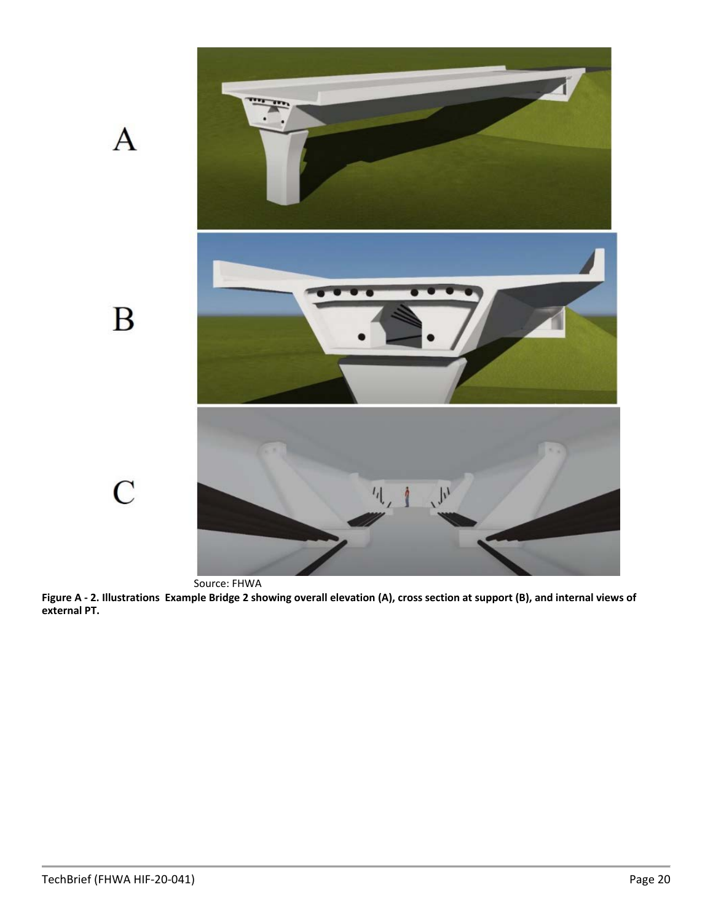

<span id="page-19-0"></span>**Figure A - 2. Illustrations Example Bridge 2 showing overall elevation (A), cross section at support (B), and internal views of external PT.**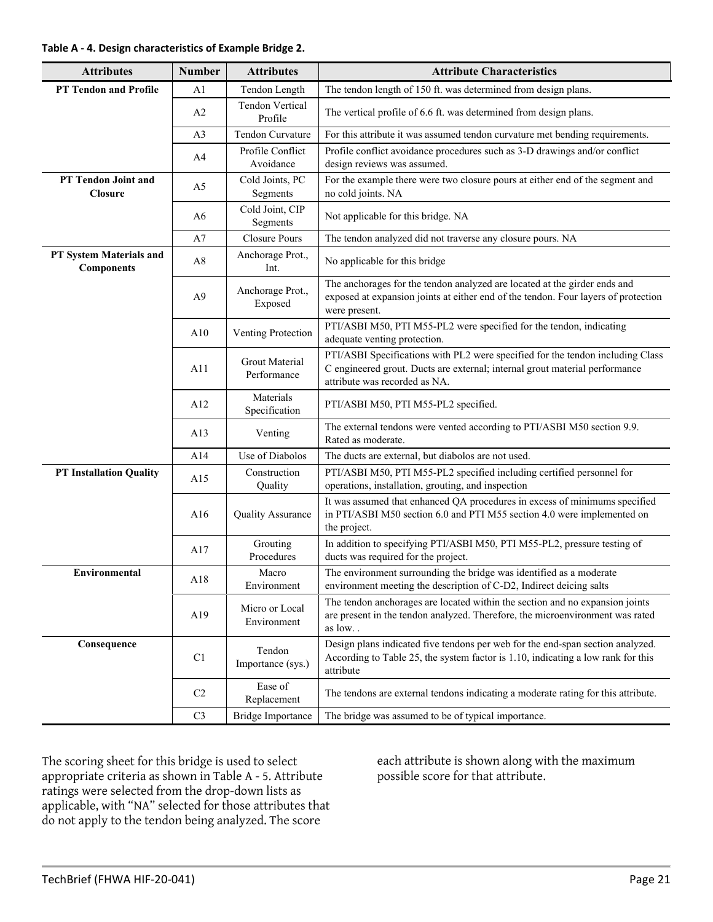#### <span id="page-20-0"></span>**Table A - 4. Design characteristics of Example Bridge 2.**

| <b>Attributes</b>                            | <b>Number</b>  | <b>Attributes</b>                    | <b>Attribute Characteristics</b>                                                                                                                                                               |
|----------------------------------------------|----------------|--------------------------------------|------------------------------------------------------------------------------------------------------------------------------------------------------------------------------------------------|
| <b>PT Tendon and Profile</b>                 | A1             | Tendon Length                        | The tendon length of 150 ft. was determined from design plans.                                                                                                                                 |
|                                              | A2             | Tendon Vertical<br>Profile           | The vertical profile of 6.6 ft. was determined from design plans.                                                                                                                              |
|                                              | A3             | Tendon Curvature                     | For this attribute it was assumed tendon curvature met bending requirements.                                                                                                                   |
|                                              | A <sub>4</sub> | Profile Conflict<br>Avoidance        | Profile conflict avoidance procedures such as 3-D drawings and/or conflict<br>design reviews was assumed.                                                                                      |
| PT Tendon Joint and<br><b>Closure</b>        | A <sub>5</sub> | Cold Joints, PC<br>Segments          | For the example there were two closure pours at either end of the segment and<br>no cold joints. NA                                                                                            |
|                                              | A6             | Cold Joint, CIP<br>Segments          | Not applicable for this bridge. NA                                                                                                                                                             |
|                                              | A7             | <b>Closure Pours</b>                 | The tendon analyzed did not traverse any closure pours. NA                                                                                                                                     |
| PT System Materials and<br><b>Components</b> | A8             | Anchorage Prot.,<br>Int.             | No applicable for this bridge                                                                                                                                                                  |
|                                              | A <sup>9</sup> | Anchorage Prot.,<br>Exposed          | The anchorages for the tendon analyzed are located at the girder ends and<br>exposed at expansion joints at either end of the tendon. Four layers of protection<br>were present.               |
|                                              | A10            | Venting Protection                   | PTI/ASBI M50, PTI M55-PL2 were specified for the tendon, indicating<br>adequate venting protection.                                                                                            |
|                                              | A11            | <b>Grout Material</b><br>Performance | PTI/ASBI Specifications with PL2 were specified for the tendon including Class<br>C engineered grout. Ducts are external; internal grout material performance<br>attribute was recorded as NA. |
|                                              | A12            | Materials<br>Specification           | PTI/ASBI M50, PTI M55-PL2 specified.                                                                                                                                                           |
|                                              | A13            | Venting                              | The external tendons were vented according to PTI/ASBI M50 section 9.9.<br>Rated as moderate.                                                                                                  |
|                                              | A14            | Use of Diabolos                      | The ducts are external, but diabolos are not used.                                                                                                                                             |
| <b>PT Installation Quality</b>               | A15            | Construction<br>Quality              | PTI/ASBI M50, PTI M55-PL2 specified including certified personnel for<br>operations, installation, grouting, and inspection                                                                    |
|                                              | A16            | Quality Assurance                    | It was assumed that enhanced QA procedures in excess of minimums specified<br>in PTI/ASBI M50 section 6.0 and PTI M55 section 4.0 were implemented on<br>the project.                          |
|                                              | A17            | Grouting<br>Procedures               | In addition to specifying PTI/ASBI M50, PTI M55-PL2, pressure testing of<br>ducts was required for the project.                                                                                |
| <b>Environmental</b>                         | A18            | Macro<br>Environment                 | The environment surrounding the bridge was identified as a moderate<br>environment meeting the description of C-D2, Indirect deicing salts                                                     |
|                                              | A19            | Micro or Local<br>Environment        | The tendon anchorages are located within the section and no expansion joints<br>are present in the tendon analyzed. Therefore, the microenvironment was rated<br>as low                        |
| Consequence                                  | C1             | Tendon<br>Importance (sys.)          | Design plans indicated five tendons per web for the end-span section analyzed.<br>According to Table 25, the system factor is 1.10, indicating a low rank for this<br>attribute                |
|                                              | C <sub>2</sub> | Ease of<br>Replacement               | The tendons are external tendons indicating a moderate rating for this attribute.                                                                                                              |
|                                              | C <sub>3</sub> | <b>Bridge Importance</b>             | The bridge was assumed to be of typical importance.                                                                                                                                            |

The scoring sheet for this bridge is used to select appropriate criteria as shown in [Table A - 5.](#page-21-0) Attribute ratings were selected from the drop-down lists as applicable, with "NA" selected for those attributes that do not apply to the tendon being analyzed. The score

each attribute is shown along with the maximum possible score for that attribute.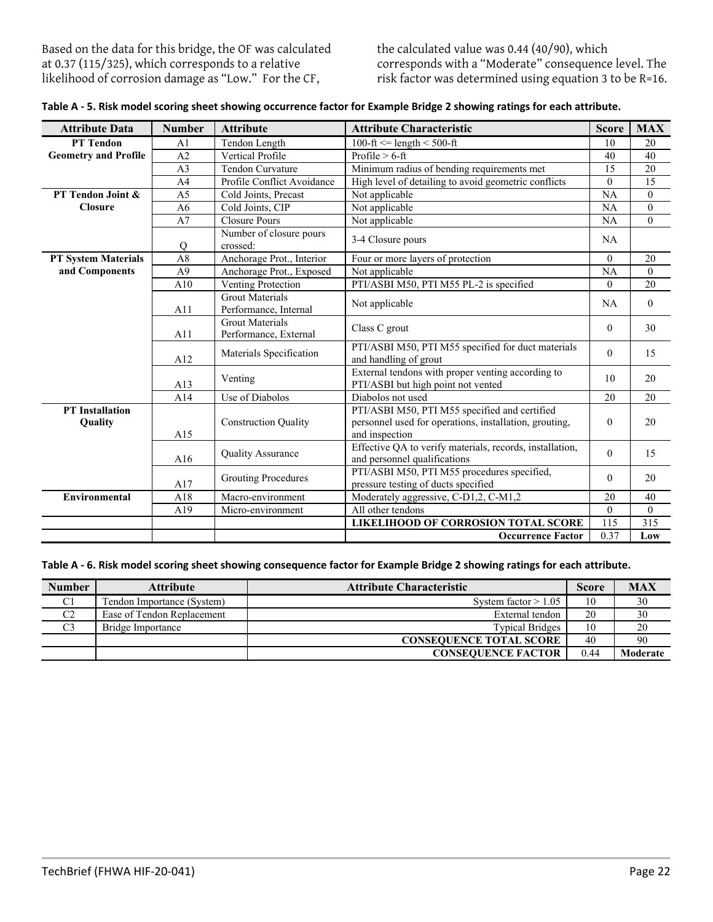Based on the data for this bridge, the OF was calculated at 0.37 (115/325), which corresponds to a relative likelihood of corrosion damage as "Low." For the CF,

the calculated value was 0.44 (40/90), which corresponds with a "Moderate" consequence level. The risk factor was determined using equation 3 to be R=16.

| <b>Attribute Data</b>             | <b>Number</b>  | <b>Attribute</b>                                | <b>Attribute Characteristic</b>                                                                                           | <b>Score</b>   | <b>MAX</b>       |
|-----------------------------------|----------------|-------------------------------------------------|---------------------------------------------------------------------------------------------------------------------------|----------------|------------------|
| <b>PT</b> Tendon                  | A <sub>1</sub> | Tendon Length                                   | 100-ft $\leq$ length $\leq$ 500-ft                                                                                        | 10             | 20               |
| <b>Geometry and Profile</b>       | A2             | Vertical Profile                                | Profile $> 6$ -ft                                                                                                         | 40             | 40               |
|                                   | A <sub>3</sub> | <b>Tendon Curvature</b>                         | Minimum radius of bending requirements met                                                                                | 15             | 20               |
|                                   | A <sub>4</sub> | Profile Conflict Avoidance                      | High level of detailing to avoid geometric conflicts                                                                      | $\Omega$       | 15               |
| PT Tendon Joint &                 | A5             | Cold Joints, Precast                            | Not applicable                                                                                                            | <b>NA</b>      | $\mathbf{0}$     |
| <b>Closure</b>                    | A6             | Cold Joints, CIP                                | Not applicable                                                                                                            | NA             | $\mathbf{0}$     |
|                                   | A7             | <b>Closure Pours</b>                            | Not applicable                                                                                                            | NA             | $\boldsymbol{0}$ |
|                                   | $\mathcal{O}$  | Number of closure pours<br>crossed:             | 3-4 Closure pours                                                                                                         | NA             |                  |
| <b>PT System Materials</b>        | A8             | Anchorage Prot., Interior                       | Four or more layers of protection                                                                                         | $\theta$       | 20               |
| and Components                    | A <sub>9</sub> | Anchorage Prot., Exposed                        | Not applicable                                                                                                            | <b>NA</b>      | $\theta$         |
|                                   | A10            | Venting Protection                              | PTI/ASBI M50, PTI M55 PL-2 is specified                                                                                   | $\theta$       | 20               |
|                                   | A11            | <b>Grout Materials</b><br>Performance, Internal | Not applicable                                                                                                            | NA             | $\overline{0}$   |
|                                   | A11            | <b>Grout Materials</b><br>Performance, External | Class C grout                                                                                                             | $\theta$       | 30               |
|                                   | A12            | Materials Specification                         | PTI/ASBI M50, PTI M55 specified for duct materials<br>and handling of grout                                               | $\mathbf{0}$   | 15               |
|                                   | A13            | Venting                                         | External tendons with proper venting according to<br>PTI/ASBI but high point not vented                                   | 10             | 20               |
|                                   | A14            | Use of Diabolos                                 | Diabolos not used                                                                                                         | 20             | 20               |
| <b>PT</b> Installation<br>Quality | A15            | <b>Construction Quality</b>                     | PTI/ASBI M50, PTI M55 specified and certified<br>personnel used for operations, installation, grouting,<br>and inspection | $\mathbf{0}$   | 20               |
|                                   | A16            | Quality Assurance                               | Effective QA to verify materials, records, installation,<br>and personnel qualifications                                  | $\Omega$       | 15               |
|                                   | A17            | <b>Grouting Procedures</b>                      | PTI/ASBI M50, PTI M55 procedures specified,<br>pressure testing of ducts specified                                        | $\overline{0}$ | 20               |
| <b>Environmental</b>              | A18            | Macro-environment                               | Moderately aggressive, C-D1,2, C-M1,2                                                                                     | 20             | 40               |
|                                   | A19            | Micro-environment                               | All other tendons                                                                                                         | $\Omega$       | $\theta$         |
|                                   |                |                                                 | LIKELIHOOD OF CORROSION TOTAL SCORE                                                                                       | 115            | 315              |
|                                   |                |                                                 | <b>Occurrence Factor</b>                                                                                                  | 0.37           | Low              |

<span id="page-21-0"></span>

| Table A - 5. Risk model scoring sheet showing occurrence factor for Example Bridge 2 showing ratings for each attribute. |
|--------------------------------------------------------------------------------------------------------------------------|
|--------------------------------------------------------------------------------------------------------------------------|

#### **Table A - 6. Risk model scoring sheet showing consequence factor for Example Bridge 2 showing ratings for each attribute.**

| <b>Number</b>  | <b>Attribute</b>           | <b>Attribute Characteristic</b> | <b>Score</b> | <b>MAX</b> |
|----------------|----------------------------|---------------------------------|--------------|------------|
| $\sim$ 1<br>U  | Tendon Importance (System) | System factor $> 1.05$          | 10           | 30         |
| C <sub>2</sub> | Ease of Tendon Replacement | External tendon                 | 20           | 30         |
| C <sub>3</sub> | Bridge Importance          | <b>Typical Bridges</b>          | 10           | 20         |
|                |                            | <b>CONSEQUENCE TOTAL SCORE</b>  | 40           | 90         |
|                |                            | <b>CONSEQUENCE FACTOR</b>       | 0.44         | Moderate   |